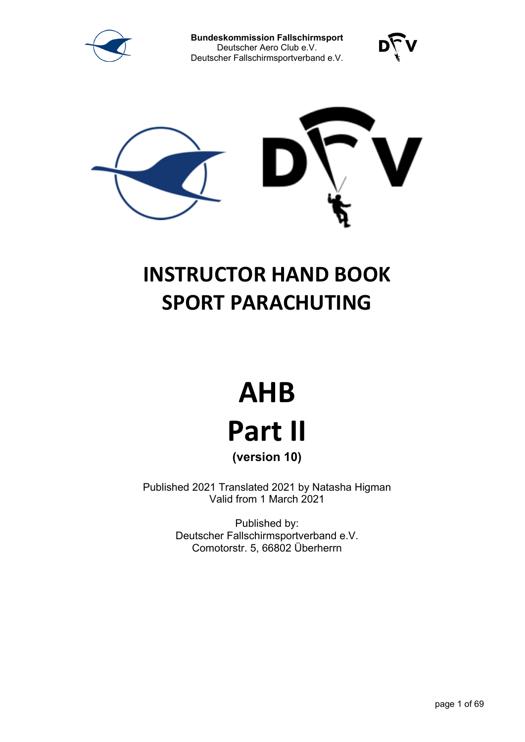





# **INSTRUCTOR HAND BOOK SPORT PARACHUTING**

# **AHB Part II (version 10)**

Published 2021 Translated 2021 by Natasha Higman Valid from 1 March 2021

> Published by: Deutscher Fallschirmsportverband e.V. Comotorstr. 5, 66802 Überherrn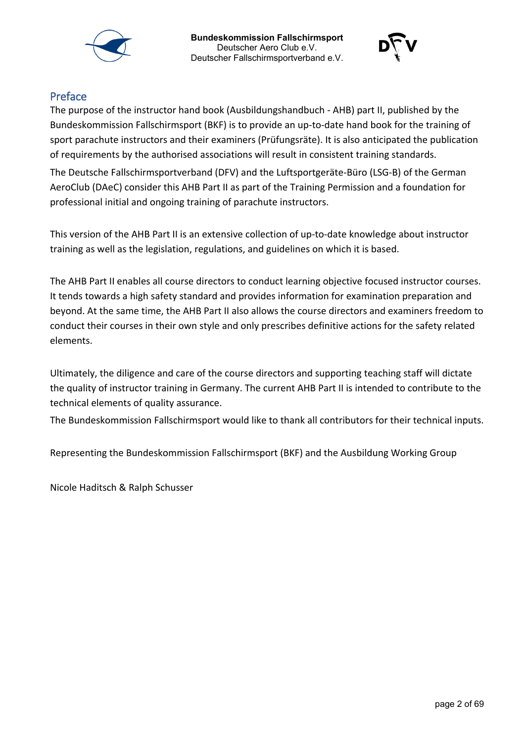



# Preface

The purpose of the instructor hand book (Ausbildungshandbuch - AHB) part II, published by the Bundeskommission Fallschirmsport (BKF) is to provide an up-to-date hand book for the training of sport parachute instructors and their examiners (Prüfungsräte). It is also anticipated the publication of requirements by the authorised associations will result in consistent training standards.

The Deutsche Fallschirmsportverband (DFV) and the Luftsportgeräte-Büro (LSG-B) of the German AeroClub (DAeC) consider this AHB Part II as part of the Training Permission and a foundation for professional initial and ongoing training of parachute instructors.

This version of the AHB Part II is an extensive collection of up-to-date knowledge about instructor training as well as the legislation, regulations, and guidelines on which it is based.

The AHB Part II enables all course directors to conduct learning objective focused instructor courses. It tends towards a high safety standard and provides information for examination preparation and beyond. At the same time, the AHB Part II also allows the course directors and examiners freedom to conduct their courses in their own style and only prescribes definitive actions for the safety related elements.

Ultimately, the diligence and care of the course directors and supporting teaching staff will dictate the quality of instructor training in Germany. The current AHB Part II is intended to contribute to the technical elements of quality assurance.

The Bundeskommission Fallschirmsport would like to thank all contributors for their technical inputs.

Representing the Bundeskommission Fallschirmsport (BKF) and the Ausbildung Working Group

Nicole Haditsch & Ralph Schusser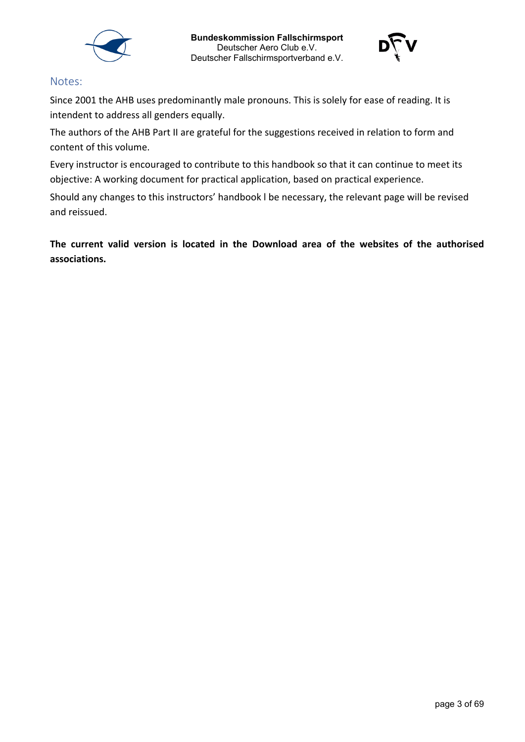



#### Notes:

Since 2001 the AHB uses predominantly male pronouns. This is solely for ease of reading. It is intendent to address all genders equally.

The authors of the AHB Part II are grateful for the suggestions received in relation to form and content of this volume.

Every instructor is encouraged to contribute to this handbook so that it can continue to meet its objective: A working document for practical application, based on practical experience.

Should any changes to this instructors' handbook l be necessary, the relevant page will be revised and reissued.

**The current valid version is located in the Download area of the websites of the authorised associations.**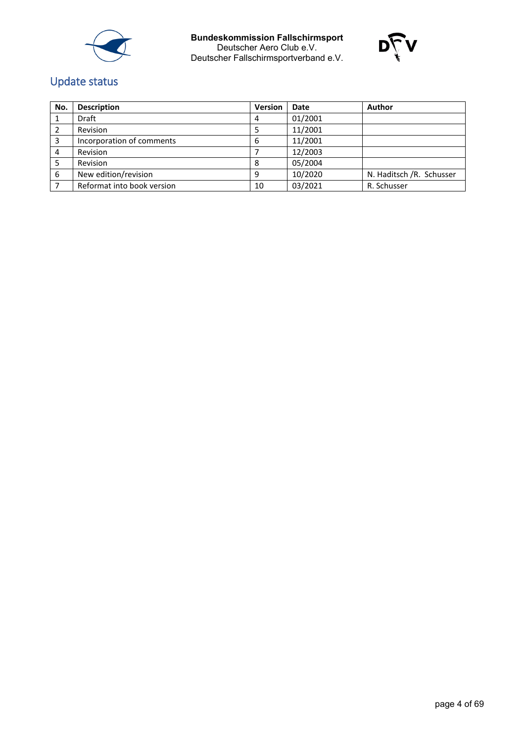



# Update status

| No. | <b>Description</b>         | Version | <b>Date</b> | Author                   |
|-----|----------------------------|---------|-------------|--------------------------|
|     | <b>Draft</b>               | 4       | 01/2001     |                          |
|     | Revision                   |         | 11/2001     |                          |
|     | Incorporation of comments  | ь       | 11/2001     |                          |
| 4   | Revision                   |         | 12/2003     |                          |
|     | Revision                   |         | 05/2004     |                          |
| 6   | New edition/revision       | a       | 10/2020     | N. Haditsch /R. Schusser |
|     | Reformat into book version | 10      | 03/2021     | R. Schusser              |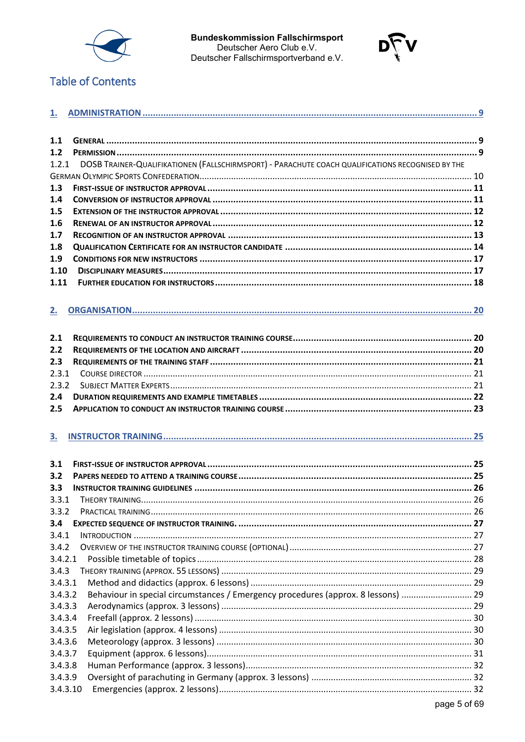



# **Table of Contents**

| 1.1      |                                                                                                   |  |
|----------|---------------------------------------------------------------------------------------------------|--|
| 1.2      |                                                                                                   |  |
| 1.2.1    | DOSB TRAINER-QUALIFIKATIONEN (FALLSCHIRMSPORT) - PARACHUTE COACH QUALIFICATIONS RECOGNISED BY THE |  |
|          |                                                                                                   |  |
| 1.3      |                                                                                                   |  |
| 1,4      |                                                                                                   |  |
| 1.5      |                                                                                                   |  |
| 1.6      |                                                                                                   |  |
| 1.7      |                                                                                                   |  |
| 1.8      |                                                                                                   |  |
| 1.9      |                                                                                                   |  |
| 1.10     |                                                                                                   |  |
| 1.11     |                                                                                                   |  |
|          |                                                                                                   |  |
|          |                                                                                                   |  |
| 2.       |                                                                                                   |  |
|          |                                                                                                   |  |
| 2.1      |                                                                                                   |  |
| 2.2      |                                                                                                   |  |
| 2.3      |                                                                                                   |  |
| 2.3.1    |                                                                                                   |  |
| 2.3.2    |                                                                                                   |  |
| 2.4      |                                                                                                   |  |
| 2.5      |                                                                                                   |  |
|          |                                                                                                   |  |
| 3.       |                                                                                                   |  |
|          |                                                                                                   |  |
| 3.1      |                                                                                                   |  |
| 3.2      |                                                                                                   |  |
| 3.3      |                                                                                                   |  |
| 3.3.1    |                                                                                                   |  |
| 3.3.2    |                                                                                                   |  |
| 3.4      |                                                                                                   |  |
| 3.4.1    |                                                                                                   |  |
| 3.4.2    |                                                                                                   |  |
| 3.4.2.1  |                                                                                                   |  |
| 3.4.3    |                                                                                                   |  |
| 3.4.3.1  |                                                                                                   |  |
| 3.4.3.2  | Behaviour in special circumstances / Emergency procedures (approx. 8 lessons)  29                 |  |
| 3.4.3.3  |                                                                                                   |  |
| 3.4.3.4  |                                                                                                   |  |
| 3.4.3.5  |                                                                                                   |  |
| 3.4.3.6  |                                                                                                   |  |
| 3.4.3.7  |                                                                                                   |  |
| 3.4.3.8  |                                                                                                   |  |
| 3.4.3.9  |                                                                                                   |  |
| 3.4.3.10 |                                                                                                   |  |
|          |                                                                                                   |  |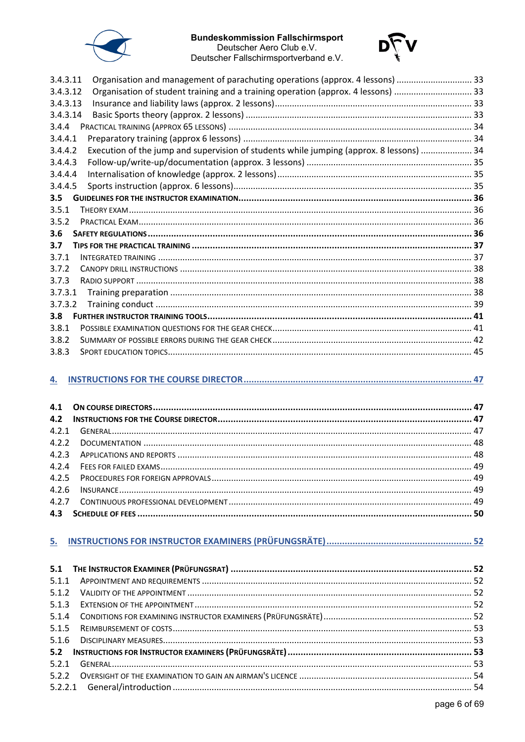

# **Bundeskommission Fallschirmsport**



Deutscher Aero Club e.V. Deutscher Fallschirmsportverband e.V.

| Organisation and management of parachuting operations (approx. 4 lessons)  33<br>3.4.3.11          |  |
|----------------------------------------------------------------------------------------------------|--|
| Organisation of student training and a training operation (approx. 4 lessons) 33<br>3.4.3.12       |  |
| 3.4.3.13                                                                                           |  |
| 3.4.3.14                                                                                           |  |
| 3.4.4                                                                                              |  |
| 3.4.4.1                                                                                            |  |
| Execution of the jump and supervision of students while jumping (approx. 8 lessons)  34<br>3.4.4.2 |  |
| 3.4.4.3                                                                                            |  |
| 3.4.4.4                                                                                            |  |
| 3.4.4.5                                                                                            |  |
| 3.5                                                                                                |  |
| 3.5.1                                                                                              |  |
| 3.5.2                                                                                              |  |
| 3.6                                                                                                |  |
| 3.7                                                                                                |  |
| 3.7.1                                                                                              |  |
| 3.7.2                                                                                              |  |
| 3.7.3                                                                                              |  |
| 3.7.3.1                                                                                            |  |
| 3.7.3.2                                                                                            |  |
| 3.8                                                                                                |  |
| 3.8.1                                                                                              |  |
| 3.8.2                                                                                              |  |
| 3.8.3                                                                                              |  |

#### 

# 

| 5.1.1 |  |
|-------|--|
| 5.1.2 |  |
| 5.1.3 |  |
|       |  |
| 5.1.5 |  |
|       |  |
|       |  |
| 5.2.1 |  |
|       |  |
|       |  |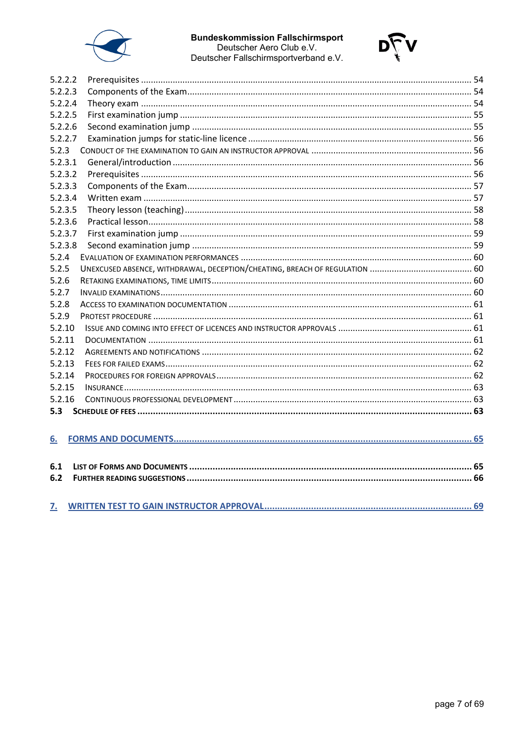



| 5.2.2.2 |  |
|---------|--|
| 5.2.2.3 |  |
| 5.2.2.4 |  |
| 5.2.2.5 |  |
| 5.2.2.6 |  |
| 5.2.2.7 |  |
| 5.2.3   |  |
| 5.2.3.1 |  |
| 5.2.3.2 |  |
| 5.2.3.3 |  |
| 5.2.3.4 |  |
| 5.2.3.5 |  |
| 5.2.3.6 |  |
| 5.2.3.7 |  |
| 5.2.3.8 |  |
| 5.2.4   |  |
| 5.2.5   |  |
| 5.2.6   |  |
| 5.2.7   |  |
| 5.2.8   |  |
| 5.2.9   |  |
| 5.2.10  |  |
| 5.2.11  |  |
| 5.2.12  |  |
| 5.2.13  |  |
| 5.2.14  |  |
| 5.2.15  |  |
| 5.2.16  |  |
| 5.3     |  |
|         |  |
| 6.      |  |
|         |  |
| 6.1     |  |
| 6.2     |  |
|         |  |
|         |  |
| 7.      |  |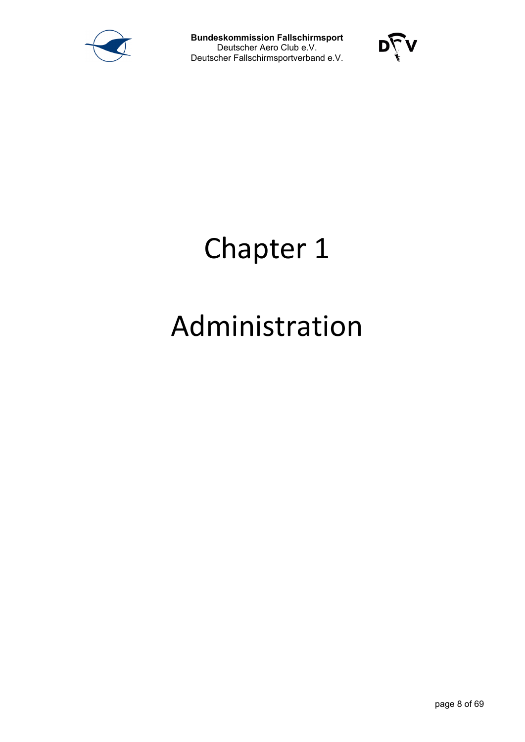



# Chapter 1

# Administration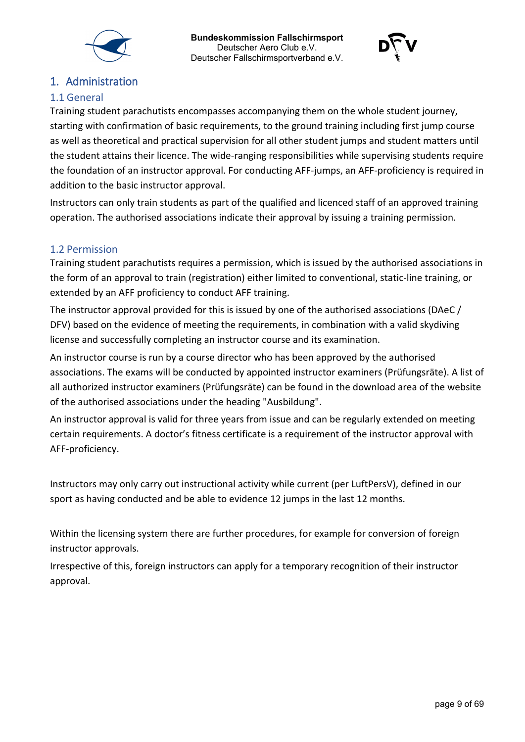



# <span id="page-8-0"></span>1. Administration

### <span id="page-8-1"></span>1.1 General

Training student parachutists encompasses accompanying them on the whole student journey, starting with confirmation of basic requirements, to the ground training including first jump course as well as theoretical and practical supervision for all other student jumps and student matters until the student attains their licence. The wide-ranging responsibilities while supervising students require the foundation of an instructor approval. For conducting AFF-jumps, an AFF-proficiency is required in addition to the basic instructor approval.

Instructors can only train students as part of the qualified and licenced staff of an approved training operation. The authorised associations indicate their approval by issuing a training permission.

#### <span id="page-8-2"></span>1.2 Permission

Training student parachutists requires a permission, which is issued by the authorised associations in the form of an approval to train (registration) either limited to conventional, static-line training, or extended by an AFF proficiency to conduct AFF training.

The instructor approval provided for this is issued by one of the authorised associations (DAeC / DFV) based on the evidence of meeting the requirements, in combination with a valid skydiving license and successfully completing an instructor course and its examination.

An instructor course is run by a course director who has been approved by the authorised associations. The exams will be conducted by appointed instructor examiners (Prüfungsräte). A list of all authorized instructor examiners (Prüfungsräte) can be found in the download area of the website of the authorised associations under the heading "Ausbildung".

An instructor approval is valid for three years from issue and can be regularly extended on meeting certain requirements. A doctor's fitness certificate is a requirement of the instructor approval with AFF-proficiency.

Instructors may only carry out instructional activity while current (per LuftPersV), defined in our sport as having conducted and be able to evidence 12 jumps in the last 12 months.

Within the licensing system there are further procedures, for example for conversion of foreign instructor approvals.

Irrespective of this, foreign instructors can apply for a temporary recognition of their instructor approval.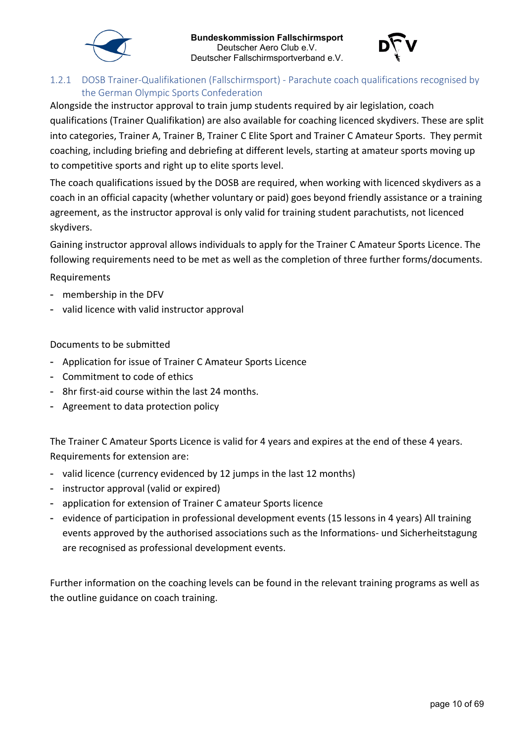



### <span id="page-9-0"></span>1.2.1 DOSB Trainer-Qualifikationen (Fallschirmsport) - Parachute coach qualifications recognised by the German Olympic Sports Confederation

Alongside the instructor approval to train jump students required by air legislation, coach qualifications (Trainer Qualifikation) are also available for coaching licenced skydivers. These are split into categories, Trainer A, Trainer B, Trainer C Elite Sport and Trainer C Amateur Sports. They permit coaching, including briefing and debriefing at different levels, starting at amateur sports moving up to competitive sports and right up to elite sports level.

The coach qualifications issued by the DOSB are required, when working with licenced skydivers as a coach in an official capacity (whether voluntary or paid) goes beyond friendly assistance or a training agreement, as the instructor approval is only valid for training student parachutists, not licenced skydivers.

Gaining instructor approval allows individuals to apply for the Trainer C Amateur Sports Licence. The following requirements need to be met as well as the completion of three further forms/documents.

Requirements

- membership in the DFV
- valid licence with valid instructor approval

Documents to be submitted

- Application for issue of Trainer C Amateur Sports Licence
- Commitment to code of ethics
- 8hr first-aid course within the last 24 months.
- Agreement to data protection policy

The Trainer C Amateur Sports Licence is valid for 4 years and expires at the end of these 4 years. Requirements for extension are:

- valid licence (currency evidenced by 12 jumps in the last 12 months)
- instructor approval (valid or expired)
- application for extension of Trainer C amateur Sports licence
- evidence of participation in professional development events (15 lessons in 4 years) All training events approved by the authorised associations such as the Informations- und Sicherheitstagung are recognised as professional development events.

Further information on the coaching levels can be found in the relevant training programs as well as the outline guidance on coach training.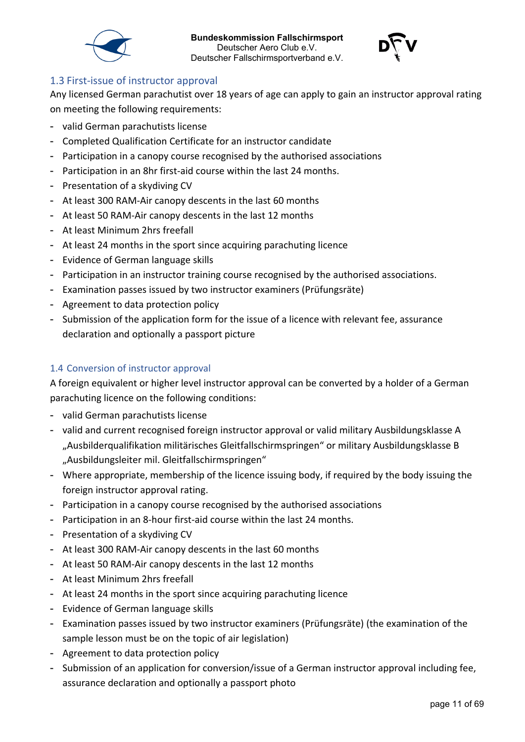



### <span id="page-10-0"></span>1.3 First-issue of instructor approval

Any licensed German parachutist over 18 years of age can apply to gain an instructor approval rating on meeting the following requirements:

- valid German parachutists license
- Completed Qualification Certificate for an instructor candidate
- Participation in a canopy course recognised by the authorised associations
- Participation in an 8hr first-aid course within the last 24 months.
- Presentation of a skydiving CV
- At least 300 RAM-Air canopy descents in the last 60 months
- At least 50 RAM-Air canopy descents in the last 12 months
- At least Minimum 2hrs freefall
- At least 24 months in the sport since acquiring parachuting licence
- Evidence of German language skills
- Participation in an instructor training course recognised by the authorised associations.
- Examination passes issued by two instructor examiners (Prüfungsräte)
- Agreement to data protection policy
- Submission of the application form for the issue of a licence with relevant fee, assurance declaration and optionally a passport picture

### <span id="page-10-1"></span>1.4 Conversion of instructor approval

A foreign equivalent or higher level instructor approval can be converted by a holder of a German parachuting licence on the following conditions:

- valid German parachutists license
- valid and current recognised foreign instructor approval or valid military Ausbildungsklasse A "Ausbilderqualifikation militärisches Gleitfallschirmspringen" or military Ausbildungsklasse B "Ausbildungsleiter mil. Gleitfallschirmspringen"
- Where appropriate, membership of the licence issuing body, if required by the body issuing the foreign instructor approval rating.
- Participation in a canopy course recognised by the authorised associations
- Participation in an 8-hour first-aid course within the last 24 months.
- Presentation of a skydiving CV
- At least 300 RAM-Air canopy descents in the last 60 months
- At least 50 RAM-Air canopy descents in the last 12 months
- At least Minimum 2hrs freefall
- At least 24 months in the sport since acquiring parachuting licence
- Evidence of German language skills
- Examination passes issued by two instructor examiners (Prüfungsräte) (the examination of the sample lesson must be on the topic of air legislation)
- Agreement to data protection policy
- Submission of an application for conversion/issue of a German instructor approval including fee, assurance declaration and optionally a passport photo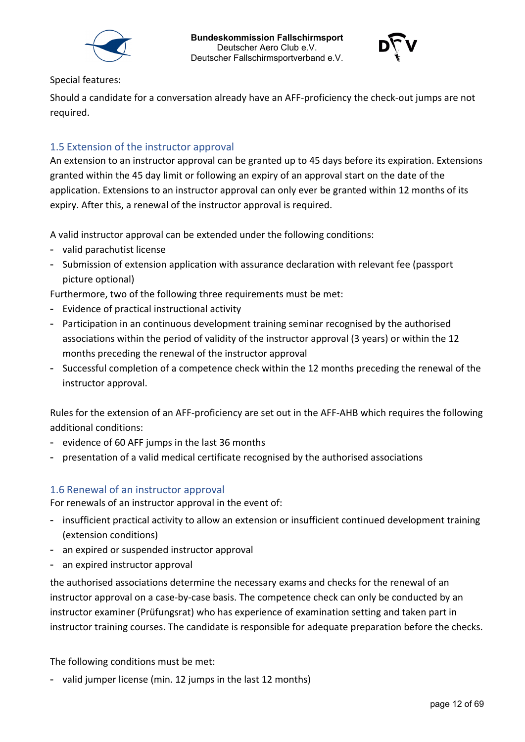



Special features:

Should a candidate for a conversation already have an AFF-proficiency the check-out jumps are not required.

# <span id="page-11-0"></span>1.5 Extension of the instructor approval

An extension to an instructor approval can be granted up to 45 days before its expiration. Extensions granted within the 45 day limit or following an expiry of an approval start on the date of the application. Extensions to an instructor approval can only ever be granted within 12 months of its expiry. After this, a renewal of the instructor approval is required.

A valid instructor approval can be extended under the following conditions:

- valid parachutist license
- Submission of extension application with assurance declaration with relevant fee (passport picture optional)

Furthermore, two of the following three requirements must be met:

- Evidence of practical instructional activity
- Participation in an continuous development training seminar recognised by the authorised associations within the period of validity of the instructor approval (3 years) or within the 12 months preceding the renewal of the instructor approval
- Successful completion of a competence check within the 12 months preceding the renewal of the instructor approval.

Rules for the extension of an AFF-proficiency are set out in the AFF-AHB which requires the following additional conditions:

- evidence of 60 AFF jumps in the last 36 months
- presentation of a valid medical certificate recognised by the authorised associations

#### <span id="page-11-1"></span>1.6 Renewal of an instructor approval

For renewals of an instructor approval in the event of:

- insufficient practical activity to allow an extension or insufficient continued development training (extension conditions)
- an expired or suspended instructor approval
- an expired instructor approval

the authorised associations determine the necessary exams and checks for the renewal of an instructor approval on a case-by-case basis. The competence check can only be conducted by an instructor examiner (Prüfungsrat) who has experience of examination setting and taken part in instructor training courses. The candidate is responsible for adequate preparation before the checks.

The following conditions must be met:

- valid jumper license (min. 12 jumps in the last 12 months)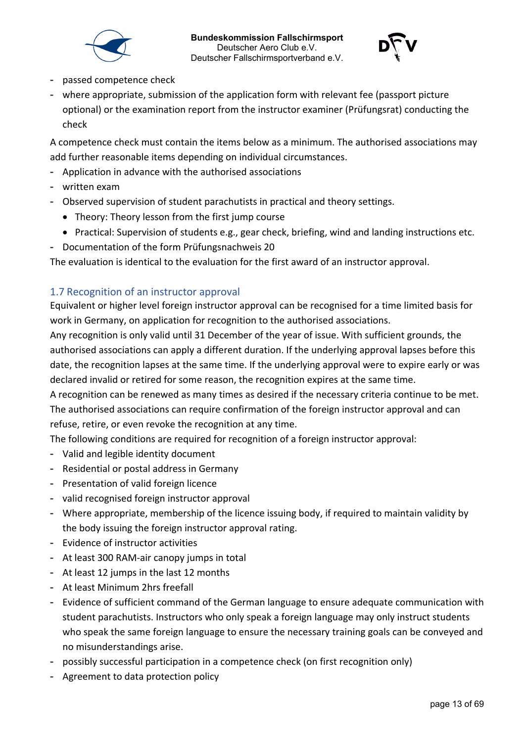



- passed competence check
- where appropriate, submission of the application form with relevant fee (passport picture optional) or the examination report from the instructor examiner (Prüfungsrat) conducting the check

A competence check must contain the items below as a minimum. The authorised associations may add further reasonable items depending on individual circumstances.

- Application in advance with the authorised associations
- written exam
- Observed supervision of student parachutists in practical and theory settings.
	- Theory: Theory lesson from the first jump course
	- Practical: Supervision of students e.g., gear check, briefing, wind and landing instructions etc.
- Documentation of the form Prüfungsnachweis 20

The evaluation is identical to the evaluation for the first award of an instructor approval.

### <span id="page-12-0"></span>1.7 Recognition of an instructor approval

Equivalent or higher level foreign instructor approval can be recognised for a time limited basis for work in Germany, on application for recognition to the authorised associations.

Any recognition is only valid until 31 December of the year of issue. With sufficient grounds, the authorised associations can apply a different duration. If the underlying approval lapses before this date, the recognition lapses at the same time. If the underlying approval were to expire early or was declared invalid or retired for some reason, the recognition expires at the same time.

A recognition can be renewed as many times as desired if the necessary criteria continue to be met. The authorised associations can require confirmation of the foreign instructor approval and can refuse, retire, or even revoke the recognition at any time.

The following conditions are required for recognition of a foreign instructor approval:

- Valid and legible identity document
- Residential or postal address in Germany
- Presentation of valid foreign licence
- valid recognised foreign instructor approval
- Where appropriate, membership of the licence issuing body, if required to maintain validity by the body issuing the foreign instructor approval rating.
- Evidence of instructor activities
- At least 300 RAM-air canopy jumps in total
- At least 12 jumps in the last 12 months
- At least Minimum 2hrs freefall
- Evidence of sufficient command of the German language to ensure adequate communication with student parachutists. Instructors who only speak a foreign language may only instruct students who speak the same foreign language to ensure the necessary training goals can be conveyed and no misunderstandings arise.
- possibly successful participation in a competence check (on first recognition only)
- Agreement to data protection policy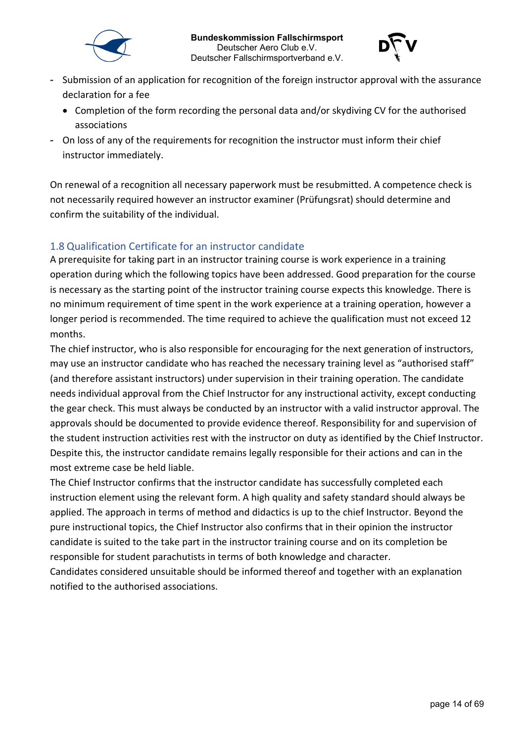



- Submission of an application for recognition of the foreign instructor approval with the assurance declaration for a fee
	- Completion of the form recording the personal data and/or skydiving CV for the authorised associations
- On loss of any of the requirements for recognition the instructor must inform their chief instructor immediately.

On renewal of a recognition all necessary paperwork must be resubmitted. A competence check is not necessarily required however an instructor examiner (Prüfungsrat) should determine and confirm the suitability of the individual.

# <span id="page-13-0"></span>1.8 Qualification Certificate for an instructor candidate

A prerequisite for taking part in an instructor training course is work experience in a training operation during which the following topics have been addressed. Good preparation for the course is necessary as the starting point of the instructor training course expects this knowledge. There is no minimum requirement of time spent in the work experience at a training operation, however a longer period is recommended. The time required to achieve the qualification must not exceed 12 months.

The chief instructor, who is also responsible for encouraging for the next generation of instructors, may use an instructor candidate who has reached the necessary training level as "authorised staff" (and therefore assistant instructors) under supervision in their training operation. The candidate needs individual approval from the Chief Instructor for any instructional activity, except conducting the gear check. This must always be conducted by an instructor with a valid instructor approval. The approvals should be documented to provide evidence thereof. Responsibility for and supervision of the student instruction activities rest with the instructor on duty as identified by the Chief Instructor. Despite this, the instructor candidate remains legally responsible for their actions and can in the most extreme case be held liable.

The Chief Instructor confirms that the instructor candidate has successfully completed each instruction element using the relevant form. A high quality and safety standard should always be applied. The approach in terms of method and didactics is up to the chief Instructor. Beyond the pure instructional topics, the Chief Instructor also confirms that in their opinion the instructor candidate is suited to the take part in the instructor training course and on its completion be responsible for student parachutists in terms of both knowledge and character.

Candidates considered unsuitable should be informed thereof and together with an explanation notified to the authorised associations.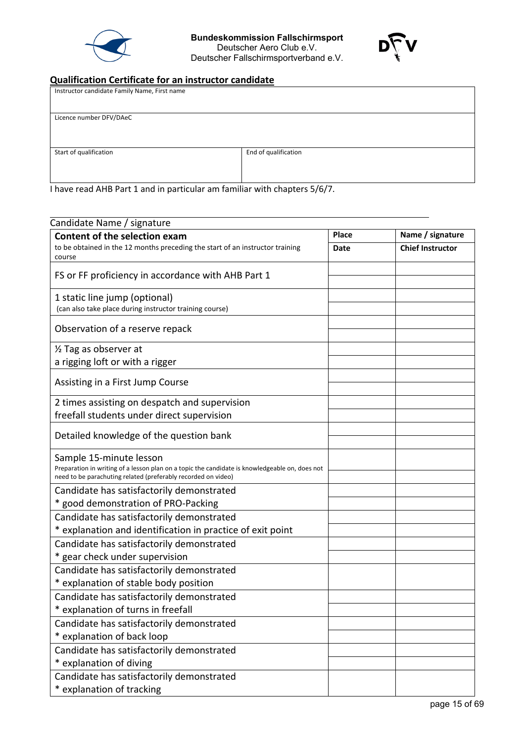



# **Qualification Certificate for an instructor candidate**

| Instructor candidate Family Name, First name |                      |  |  |  |  |  |  |
|----------------------------------------------|----------------------|--|--|--|--|--|--|
|                                              |                      |  |  |  |  |  |  |
| Licence number DFV/DAeC                      |                      |  |  |  |  |  |  |
|                                              |                      |  |  |  |  |  |  |
|                                              |                      |  |  |  |  |  |  |
| Start of qualification                       | End of qualification |  |  |  |  |  |  |
|                                              |                      |  |  |  |  |  |  |
|                                              |                      |  |  |  |  |  |  |

I have read AHB Part 1 and in particular am familiar with chapters 5/6/7.

| <b>Content of the selection exam</b>                                                           | Place | Name / signature        |
|------------------------------------------------------------------------------------------------|-------|-------------------------|
| to be obtained in the 12 months preceding the start of an instructor training                  | Date  | <b>Chief Instructor</b> |
| course                                                                                         |       |                         |
| FS or FF proficiency in accordance with AHB Part 1                                             |       |                         |
| 1 static line jump (optional)                                                                  |       |                         |
| (can also take place during instructor training course)                                        |       |                         |
| Observation of a reserve repack                                                                |       |                         |
| 1/2 Tag as observer at                                                                         |       |                         |
| a rigging loft or with a rigger                                                                |       |                         |
|                                                                                                |       |                         |
| Assisting in a First Jump Course                                                               |       |                         |
| 2 times assisting on despatch and supervision                                                  |       |                         |
| freefall students under direct supervision                                                     |       |                         |
|                                                                                                |       |                         |
| Detailed knowledge of the question bank                                                        |       |                         |
| Sample 15-minute lesson                                                                        |       |                         |
| Preparation in writing of a lesson plan on a topic the candidate is knowledgeable on, does not |       |                         |
| need to be parachuting related (preferably recorded on video)                                  |       |                         |
| Candidate has satisfactorily demonstrated                                                      |       |                         |
| * good demonstration of PRO-Packing                                                            |       |                         |
| Candidate has satisfactorily demonstrated                                                      |       |                         |
| * explanation and identification in practice of exit point                                     |       |                         |
| Candidate has satisfactorily demonstrated                                                      |       |                         |
| * gear check under supervision                                                                 |       |                         |
| Candidate has satisfactorily demonstrated                                                      |       |                         |
| * explanation of stable body position                                                          |       |                         |
| Candidate has satisfactorily demonstrated                                                      |       |                         |
| * explanation of turns in freefall                                                             |       |                         |
| Candidate has satisfactorily demonstrated                                                      |       |                         |
| * explanation of back loop                                                                     |       |                         |
| Candidate has satisfactorily demonstrated                                                      |       |                         |
| * explanation of diving                                                                        |       |                         |
| Candidate has satisfactorily demonstrated                                                      |       |                         |
| * explanation of tracking                                                                      |       |                         |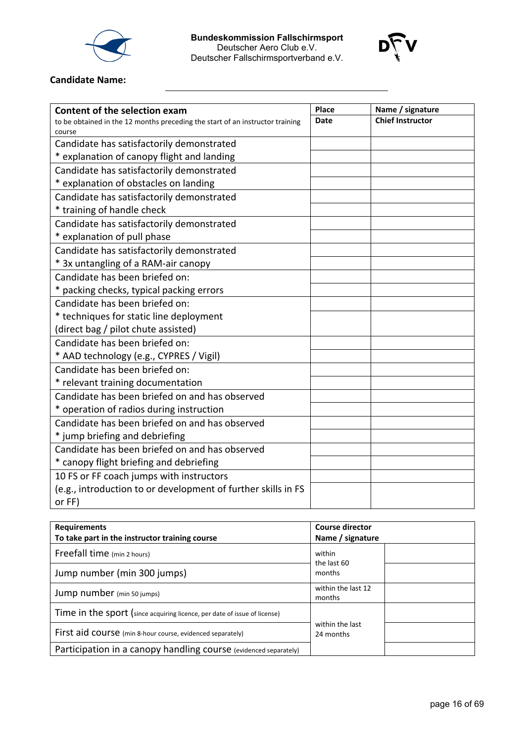



# **Candidate Name:**

| Content of the selection exam                                                 | Place       | Name / signature        |
|-------------------------------------------------------------------------------|-------------|-------------------------|
| to be obtained in the 12 months preceding the start of an instructor training | <b>Date</b> | <b>Chief Instructor</b> |
| course                                                                        |             |                         |
| Candidate has satisfactorily demonstrated                                     |             |                         |
| * explanation of canopy flight and landing                                    |             |                         |
| Candidate has satisfactorily demonstrated                                     |             |                         |
| * explanation of obstacles on landing                                         |             |                         |
| Candidate has satisfactorily demonstrated                                     |             |                         |
| * training of handle check                                                    |             |                         |
| Candidate has satisfactorily demonstrated                                     |             |                         |
| * explanation of pull phase                                                   |             |                         |
| Candidate has satisfactorily demonstrated                                     |             |                         |
| * 3x untangling of a RAM-air canopy                                           |             |                         |
| Candidate has been briefed on:                                                |             |                         |
| * packing checks, typical packing errors                                      |             |                         |
| Candidate has been briefed on:                                                |             |                         |
| * techniques for static line deployment                                       |             |                         |
| (direct bag / pilot chute assisted)                                           |             |                         |
| Candidate has been briefed on:                                                |             |                         |
| * AAD technology (e.g., CYPRES / Vigil)                                       |             |                         |
| Candidate has been briefed on:                                                |             |                         |
| * relevant training documentation                                             |             |                         |
| Candidate has been briefed on and has observed                                |             |                         |
| * operation of radios during instruction                                      |             |                         |
| Candidate has been briefed on and has observed                                |             |                         |
| * jump briefing and debriefing                                                |             |                         |
| Candidate has been briefed on and has observed                                |             |                         |
| * canopy flight briefing and debriefing                                       |             |                         |
| 10 FS or FF coach jumps with instructors                                      |             |                         |
| (e.g., introduction to or development of further skills in FS                 |             |                         |
| or FF)                                                                        |             |                         |

| <b>Requirements</b><br>To take part in the instructor training course     | <b>Course director</b><br>Name / signature |  |  |
|---------------------------------------------------------------------------|--------------------------------------------|--|--|
| Freefall time (min 2 hours)                                               | within                                     |  |  |
| Jump number (min 300 jumps)                                               | the last 60<br>months                      |  |  |
| Jump number (min 50 jumps)                                                | within the last 12<br>months               |  |  |
| Time in the sport (since acquiring licence, per date of issue of license) |                                            |  |  |
| First aid course (min 8-hour course, evidenced separately)                | within the last<br>24 months               |  |  |
| Participation in a canopy handling course (evidenced separately)          |                                            |  |  |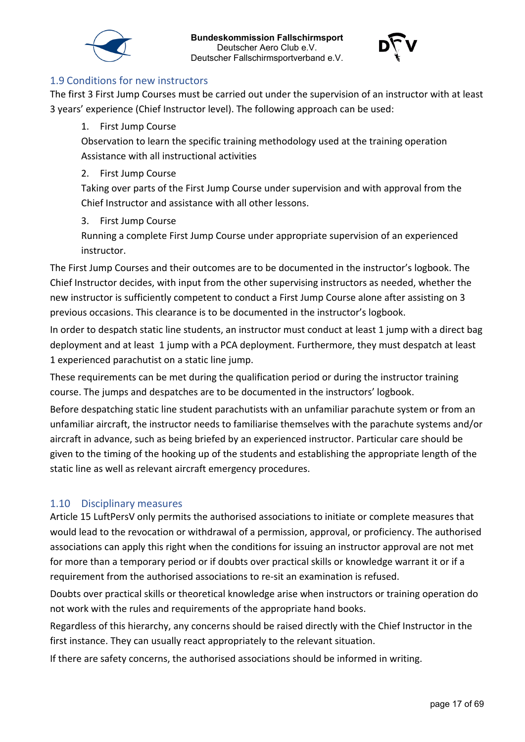



#### <span id="page-16-0"></span>1.9 Conditions for new instructors

The first 3 First Jump Courses must be carried out under the supervision of an instructor with at least 3 years' experience (Chief Instructor level). The following approach can be used:

1. First Jump Course

Observation to learn the specific training methodology used at the training operation Assistance with all instructional activities

2. First Jump Course

Taking over parts of the First Jump Course under supervision and with approval from the Chief Instructor and assistance with all other lessons.

3. First Jump Course

Running a complete First Jump Course under appropriate supervision of an experienced instructor.

The First Jump Courses and their outcomes are to be documented in the instructor's logbook. The Chief Instructor decides, with input from the other supervising instructors as needed, whether the new instructor is sufficiently competent to conduct a First Jump Course alone after assisting on 3 previous occasions. This clearance is to be documented in the instructor's logbook.

In order to despatch static line students, an instructor must conduct at least 1 jump with a direct bag deployment and at least 1 jump with a PCA deployment. Furthermore, they must despatch at least 1 experienced parachutist on a static line jump.

These requirements can be met during the qualification period or during the instructor training course. The jumps and despatches are to be documented in the instructors' logbook.

Before despatching static line student parachutists with an unfamiliar parachute system or from an unfamiliar aircraft, the instructor needs to familiarise themselves with the parachute systems and/or aircraft in advance, such as being briefed by an experienced instructor. Particular care should be given to the timing of the hooking up of the students and establishing the appropriate length of the static line as well as relevant aircraft emergency procedures.

# <span id="page-16-1"></span>1.10 Disciplinary measures

Article 15 LuftPersV only permits the authorised associations to initiate or complete measures that would lead to the revocation or withdrawal of a permission, approval, or proficiency. The authorised associations can apply this right when the conditions for issuing an instructor approval are not met for more than a temporary period or if doubts over practical skills or knowledge warrant it or if a requirement from the authorised associations to re-sit an examination is refused.

Doubts over practical skills or theoretical knowledge arise when instructors or training operation do not work with the rules and requirements of the appropriate hand books.

Regardless of this hierarchy, any concerns should be raised directly with the Chief Instructor in the first instance. They can usually react appropriately to the relevant situation.

If there are safety concerns, the authorised associations should be informed in writing.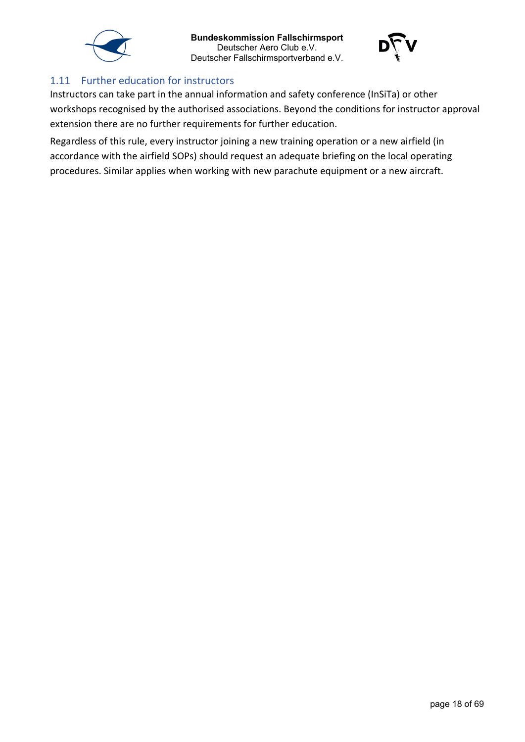



### <span id="page-17-0"></span>1.11 Further education for instructors

Instructors can take part in the annual information and safety conference (InSiTa) or other workshops recognised by the authorised associations. Beyond the conditions for instructor approval extension there are no further requirements for further education.

Regardless of this rule, every instructor joining a new training operation or a new airfield (in accordance with the airfield SOPs) should request an adequate briefing on the local operating procedures. Similar applies when working with new parachute equipment or a new aircraft.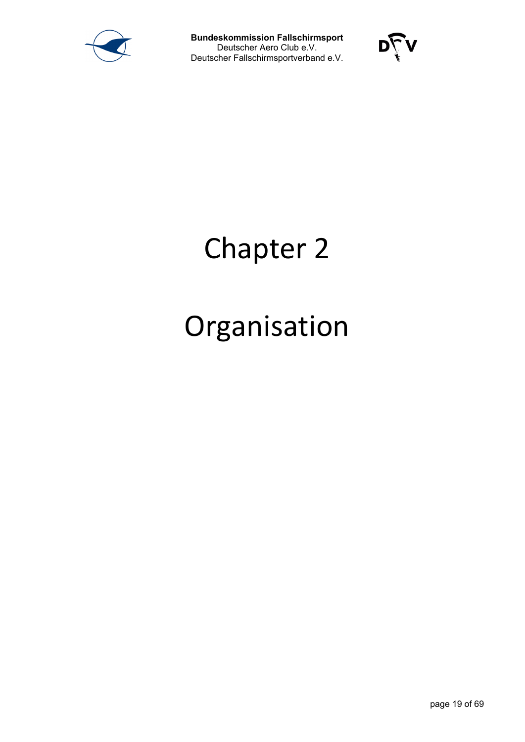



# Chapter 2

# Organisation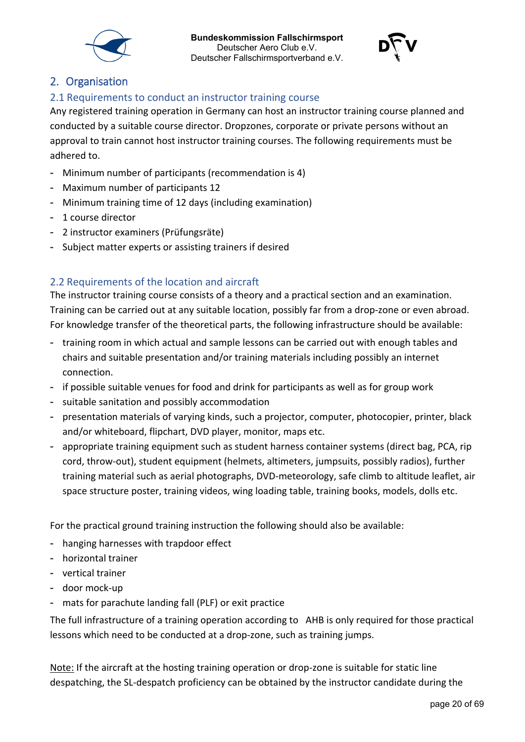



# <span id="page-19-0"></span>2. Organisation

# <span id="page-19-1"></span>2.1 Requirements to conduct an instructor training course

Any registered training operation in Germany can host an instructor training course planned and conducted by a suitable course director. Dropzones, corporate or private persons without an approval to train cannot host instructor training courses. The following requirements must be adhered to.

- Minimum number of participants (recommendation is 4)
- Maximum number of participants 12
- Minimum training time of 12 days (including examination)
- 1 course director
- 2 instructor examiners (Prüfungsräte)
- Subject matter experts or assisting trainers if desired

# <span id="page-19-2"></span>2.2 Requirements of the location and aircraft

The instructor training course consists of a theory and a practical section and an examination. Training can be carried out at any suitable location, possibly far from a drop-zone or even abroad. For knowledge transfer of the theoretical parts, the following infrastructure should be available:

- training room in which actual and sample lessons can be carried out with enough tables and chairs and suitable presentation and/or training materials including possibly an internet connection.
- if possible suitable venues for food and drink for participants as well as for group work
- suitable sanitation and possibly accommodation
- presentation materials of varying kinds, such a projector, computer, photocopier, printer, black and/or whiteboard, flipchart, DVD player, monitor, maps etc.
- appropriate training equipment such as student harness container systems (direct bag, PCA, rip cord, throw-out), student equipment (helmets, altimeters, jumpsuits, possibly radios), further training material such as aerial photographs, DVD-meteorology, safe climb to altitude leaflet, air space structure poster, training videos, wing loading table, training books, models, dolls etc.

For the practical ground training instruction the following should also be available:

- hanging harnesses with trapdoor effect
- horizontal trainer
- vertical trainer
- door mock-up
- mats for parachute landing fall (PLF) or exit practice

The full infrastructure of a training operation according to AHB is only required for those practical lessons which need to be conducted at a drop-zone, such as training jumps.

Note: If the aircraft at the hosting training operation or drop-zone is suitable for static line despatching, the SL-despatch proficiency can be obtained by the instructor candidate during the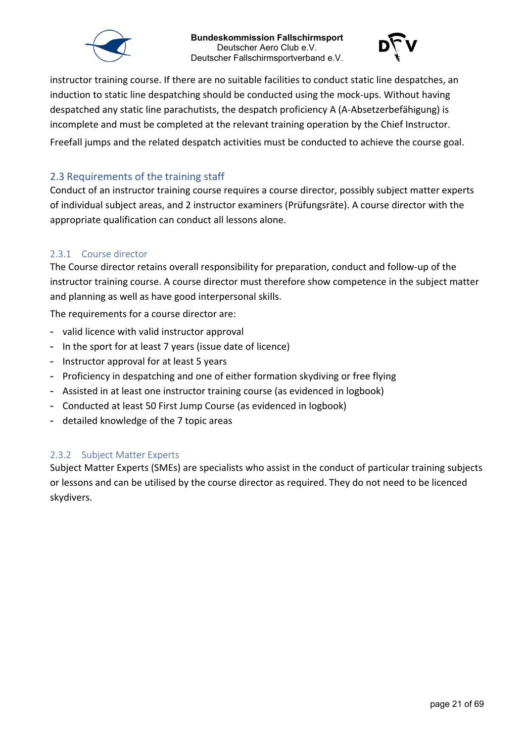



instructor training course. If there are no suitable facilities to conduct static line despatches, an induction to static line despatching should be conducted using the mock-ups. Without having despatched any static line parachutists, the despatch proficiency A (A-Absetzerbefähigung) is incomplete and must be completed at the relevant training operation by the Chief Instructor. Freefall jumps and the related despatch activities must be conducted to achieve the course goal.

### <span id="page-20-0"></span>2.3 Requirements of the training staff

Conduct of an instructor training course requires a course director, possibly subject matter experts of individual subject areas, and 2 instructor examiners (Prüfungsräte). A course director with the appropriate qualification can conduct all lessons alone.

#### <span id="page-20-1"></span>2.3.1 Course director

The Course director retains overall responsibility for preparation, conduct and follow-up of the instructor training course. A course director must therefore show competence in the subject matter and planning as well as have good interpersonal skills.

The requirements for a course director are:

- valid licence with valid instructor approval
- In the sport for at least 7 years (issue date of licence)
- Instructor approval for at least 5 years
- Proficiency in despatching and one of either formation skydiving or free flying
- Assisted in at least one instructor training course (as evidenced in logbook)
- Conducted at least 50 First Jump Course (as evidenced in logbook)
- detailed knowledge of the 7 topic areas

#### <span id="page-20-2"></span>2.3.2 Subject Matter Experts

Subject Matter Experts (SMEs) are specialists who assist in the conduct of particular training subjects or lessons and can be utilised by the course director as required. They do not need to be licenced skydivers.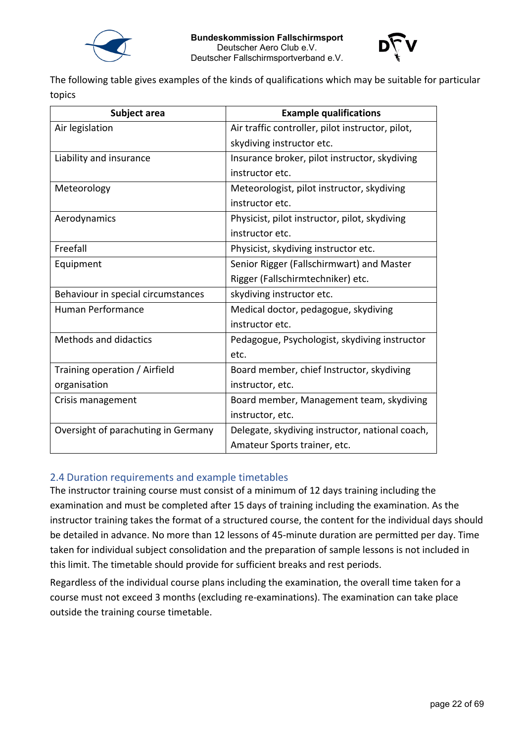



The following table gives examples of the kinds of qualifications which may be suitable for particular topics

| Subject area                        | <b>Example qualifications</b>                    |
|-------------------------------------|--------------------------------------------------|
| Air legislation                     | Air traffic controller, pilot instructor, pilot, |
|                                     | skydiving instructor etc.                        |
| Liability and insurance             | Insurance broker, pilot instructor, skydiving    |
|                                     | instructor etc.                                  |
| Meteorology                         | Meteorologist, pilot instructor, skydiving       |
|                                     | instructor etc.                                  |
| Aerodynamics                        | Physicist, pilot instructor, pilot, skydiving    |
|                                     | instructor etc.                                  |
| Freefall                            | Physicist, skydiving instructor etc.             |
| Equipment                           | Senior Rigger (Fallschirmwart) and Master        |
|                                     | Rigger (Fallschirmtechniker) etc.                |
| Behaviour in special circumstances  | skydiving instructor etc.                        |
| <b>Human Performance</b>            | Medical doctor, pedagogue, skydiving             |
|                                     | instructor etc.                                  |
| <b>Methods and didactics</b>        | Pedagogue, Psychologist, skydiving instructor    |
|                                     | etc.                                             |
| Training operation / Airfield       | Board member, chief Instructor, skydiving        |
| organisation                        | instructor, etc.                                 |
| Crisis management                   | Board member, Management team, skydiving         |
|                                     | instructor, etc.                                 |
| Oversight of parachuting in Germany | Delegate, skydiving instructor, national coach,  |
|                                     | Amateur Sports trainer, etc.                     |

# <span id="page-21-0"></span>2.4 Duration requirements and example timetables

The instructor training course must consist of a minimum of 12 days training including the examination and must be completed after 15 days of training including the examination. As the instructor training takes the format of a structured course, the content for the individual days should be detailed in advance. No more than 12 lessons of 45-minute duration are permitted per day. Time taken for individual subject consolidation and the preparation of sample lessons is not included in this limit. The timetable should provide for sufficient breaks and rest periods.

Regardless of the individual course plans including the examination, the overall time taken for a course must not exceed 3 months (excluding re-examinations). The examination can take place outside the training course timetable.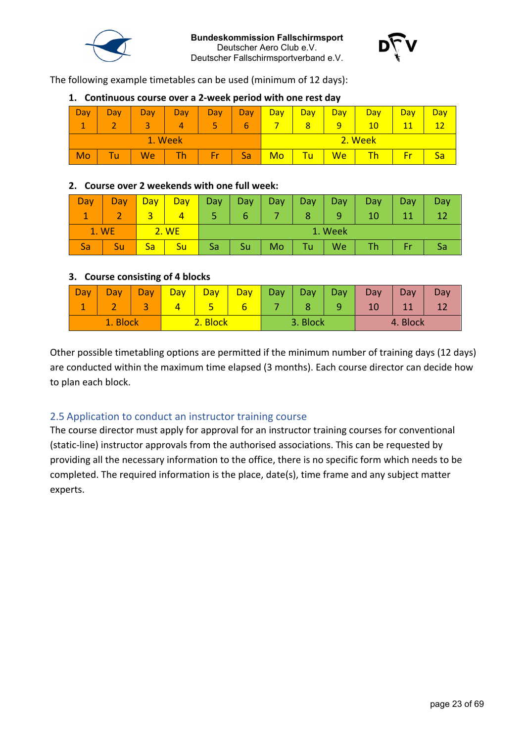



The following example timetables can be used (minimum of 12 days):

#### Day 1 Day 2 Day 3 Day 4 Day 5 Day 6 **Day** 7 **Day** 8 **Day** 9 **Day** 10 **Day** 11 **Day** 12 1. Week **2. Week** 2. Week Mo | Tu | We | Th | Fr | Sa <mark>| Mo | Tu | We | Th | Fr | Sa</mark>

#### **1. Continuous course over a 2-week period with one rest day**

### **2. Course over 2 weekends with one full week:**

| Dav   | Day | Day | <b>Day</b> | Day     | Day | Day. | Day | <b>Day</b> | <b>Day</b> | Day | Day |
|-------|-----|-----|------------|---------|-----|------|-----|------------|------------|-----|-----|
|       |     |     |            |         |     |      | 8   |            |            |     |     |
| 1. WE |     |     | 2. WE      | 1. Week |     |      |     |            |            |     |     |
|       |     | Sa  | Su         | Sa      | Su  | Mo   | Tu  | We         |            |     |     |

#### **3. Course consisting of 4 blocks**

| <b>Day</b> | Jav | $\partial$ av | Dav. | $\partial$ ay | Day | Day | Day      | Day. | Dav | Day | Dav |
|------------|-----|---------------|------|---------------|-----|-----|----------|------|-----|-----|-----|
|            |     |               |      |               | b   |     |          | ر    |     |     |     |
| 1. Block   |     | <b>Block</b>  |      | 3. Block      |     |     | 4. Block |      |     |     |     |

Other possible timetabling options are permitted if the minimum number of training days (12 days) are conducted within the maximum time elapsed (3 months). Each course director can decide how to plan each block.

# <span id="page-22-0"></span>2.5 Application to conduct an instructor training course

The course director must apply for approval for an instructor training courses for conventional (static-line) instructor approvals from the authorised associations. This can be requested by providing all the necessary information to the office, there is no specific form which needs to be completed. The required information is the place, date(s), time frame and any subject matter experts.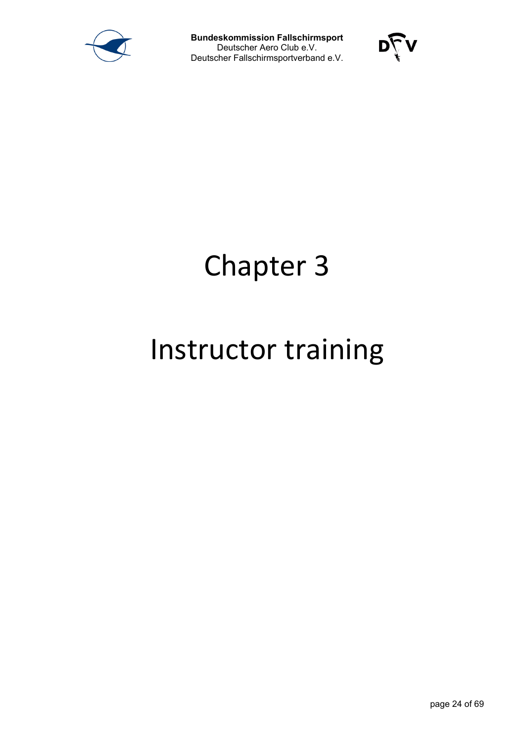



# Chapter 3

# Instructor training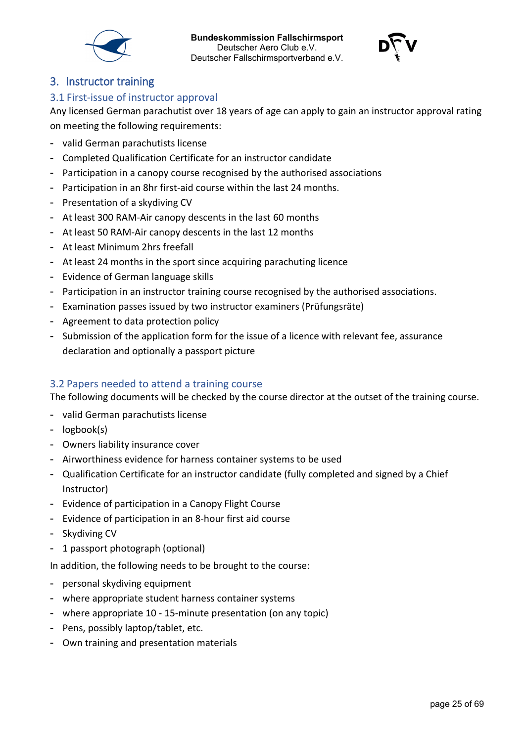



# <span id="page-24-0"></span>3. Instructor training

#### <span id="page-24-1"></span>3.1 First-issue of instructor approval

Any licensed German parachutist over 18 years of age can apply to gain an instructor approval rating on meeting the following requirements:

- valid German parachutists license
- Completed Qualification Certificate for an instructor candidate
- Participation in a canopy course recognised by the authorised associations
- Participation in an 8hr first-aid course within the last 24 months.
- Presentation of a skydiving CV
- At least 300 RAM-Air canopy descents in the last 60 months
- At least 50 RAM-Air canopy descents in the last 12 months
- At least Minimum 2hrs freefall
- At least 24 months in the sport since acquiring parachuting licence
- Evidence of German language skills
- Participation in an instructor training course recognised by the authorised associations.
- Examination passes issued by two instructor examiners (Prüfungsräte)
- Agreement to data protection policy
- Submission of the application form for the issue of a licence with relevant fee, assurance declaration and optionally a passport picture

#### <span id="page-24-2"></span>3.2 Papers needed to attend a training course

The following documents will be checked by the course director at the outset of the training course.

- valid German parachutists license
- logbook(s)
- Owners liability insurance cover
- Airworthiness evidence for harness container systems to be used
- Qualification Certificate for an instructor candidate (fully completed and signed by a Chief Instructor)
- Evidence of participation in a Canopy Flight Course
- Evidence of participation in an 8-hour first aid course
- Skydiving CV
- 1 passport photograph (optional)

In addition, the following needs to be brought to the course:

- personal skydiving equipment
- where appropriate student harness container systems
- where appropriate 10 15-minute presentation (on any topic)
- Pens, possibly laptop/tablet, etc.
- Own training and presentation materials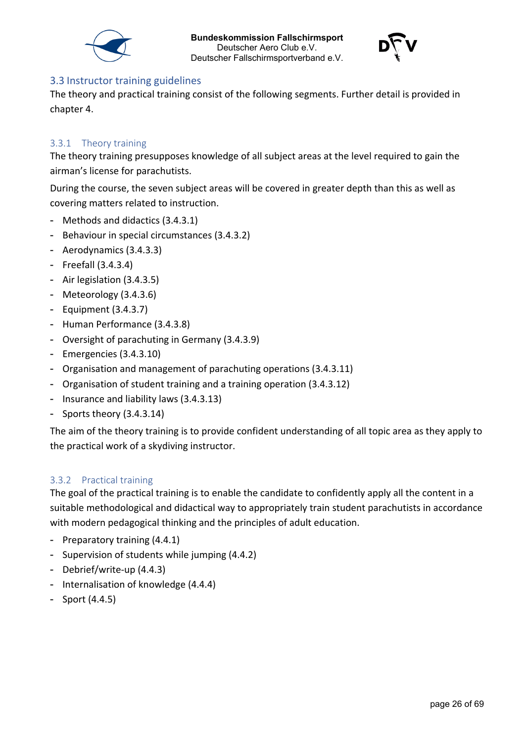



#### <span id="page-25-0"></span>3.3 Instructor training guidelines

The theory and practical training consist of the following segments. Further detail is provided in chapter 4.

#### <span id="page-25-1"></span>3.3.1 Theory training

The theory training presupposes knowledge of all subject areas at the level required to gain the airman's license for parachutists.

During the course, the seven subject areas will be covered in greater depth than this as well as covering matters related to instruction.

- Methods and didactics (3.4.3.1)
- Behaviour in special circumstances (3.4.3.2)
- Aerodynamics (3.4.3.3)
- Freefall (3.4.3.4)
- Air legislation (3.4.3.5)
- Meteorology (3.4.3.6)
- Equipment (3.4.3.7)
- Human Performance (3.4.3.8)
- Oversight of parachuting in Germany (3.4.3.9)
- Emergencies (3.4.3.10)
- Organisation and management of parachuting operations (3.4.3.11)
- Organisation of student training and a training operation (3.4.3.12)
- Insurance and liability laws (3.4.3.13)
- Sports theory (3.4.3.14)

The aim of the theory training is to provide confident understanding of all topic area as they apply to the practical work of a skydiving instructor.

#### <span id="page-25-2"></span>3.3.2 Practical training

The goal of the practical training is to enable the candidate to confidently apply all the content in a suitable methodological and didactical way to appropriately train student parachutists in accordance with modern pedagogical thinking and the principles of adult education.

- Preparatory training (4.4.1)
- Supervision of students while jumping (4.4.2)
- Debrief/write-up (4.4.3)
- Internalisation of knowledge (4.4.4)
- Sport (4.4.5)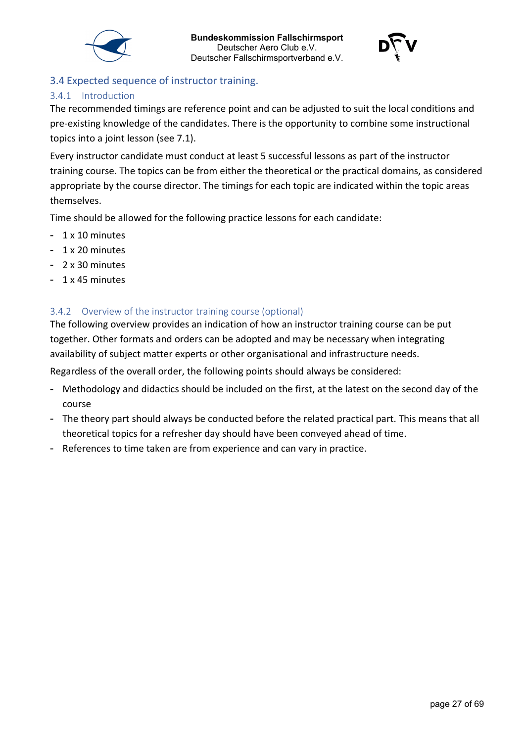



# <span id="page-26-0"></span>3.4 Expected sequence of instructor training.

### <span id="page-26-1"></span>3.4.1 Introduction

The recommended timings are reference point and can be adjusted to suit the local conditions and pre-existing knowledge of the candidates. There is the opportunity to combine some instructional topics into a joint lesson (see 7.1).

Every instructor candidate must conduct at least 5 successful lessons as part of the instructor training course. The topics can be from either the theoretical or the practical domains, as considered appropriate by the course director. The timings for each topic are indicated within the topic areas themselves.

Time should be allowed for the following practice lessons for each candidate:

- 1 x 10 minutes
- 1 x 20 minutes
- 2 x 30 minutes
- 1 x 45 minutes

### <span id="page-26-2"></span>3.4.2 Overview of the instructor training course (optional)

The following overview provides an indication of how an instructor training course can be put together. Other formats and orders can be adopted and may be necessary when integrating availability of subject matter experts or other organisational and infrastructure needs.

Regardless of the overall order, the following points should always be considered:

- Methodology and didactics should be included on the first, at the latest on the second day of the course
- The theory part should always be conducted before the related practical part. This means that all theoretical topics for a refresher day should have been conveyed ahead of time.
- References to time taken are from experience and can vary in practice.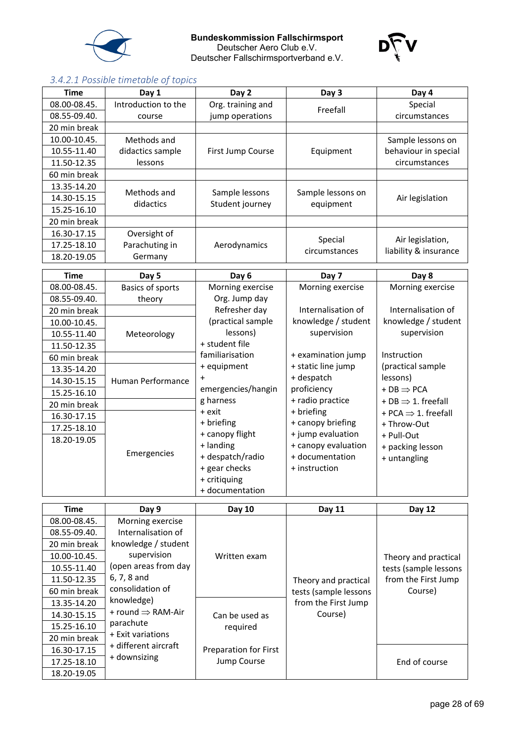



# <span id="page-27-0"></span>*3.4.2.1 Possible timetable of topics*

| <b>Time</b>  | Day 1                         | Day 2                             | Day 3                          | Day 4                                     |
|--------------|-------------------------------|-----------------------------------|--------------------------------|-------------------------------------------|
| 08.00-08.45. | Introduction to the           | Org. training and                 | Freefall                       | Special                                   |
| 08.55-09.40. | course                        | jump operations                   |                                | circumstances                             |
| 20 min break |                               |                                   |                                |                                           |
| 10.00-10.45. | Methods and                   |                                   |                                | Sample lessons on                         |
| 10.55-11.40  | didactics sample              | First Jump Course                 | Equipment                      | behaviour in special                      |
| 11.50-12.35  | lessons                       |                                   |                                | circumstances                             |
| 60 min break |                               |                                   |                                |                                           |
| 13.35-14.20  | Methods and                   |                                   |                                |                                           |
| 14.30-15.15  | didactics                     | Sample lessons<br>Student journey | Sample lessons on<br>equipment | Air legislation                           |
| 15.25-16.10  |                               |                                   |                                |                                           |
| 20 min break |                               |                                   |                                |                                           |
| 16.30-17.15  | Oversight of                  |                                   |                                |                                           |
| 17.25-18.10  | Parachuting in                | Aerodynamics                      | Special<br>circumstances       | Air legislation,<br>liability & insurance |
| 18.20-19.05  | Germany                       |                                   |                                |                                           |
| <b>Time</b>  | Day 5                         | Day 6                             | Day 7                          | Day 8                                     |
| 08.00-08.45. | Basics of sports              | Morning exercise                  | Morning exercise               | Morning exercise                          |
| 08.55-09.40. | theory                        | Org. Jump day                     |                                |                                           |
| 20 min break |                               | Refresher day                     | Internalisation of             | Internalisation of                        |
| 10.00-10.45. |                               | (practical sample                 | knowledge / student            | knowledge / student                       |
| 10.55-11.40  | Meteorology                   | lessons)                          | supervision                    | supervision                               |
| 11.50-12.35  |                               | + student file                    |                                |                                           |
| 60 min break |                               | familiarisation                   | + examination jump             | Instruction                               |
| 13.35-14.20  |                               | + equipment                       | + static line jump             | (practical sample                         |
| 14.30-15.15  | Human Performance             | $\ddag$                           | + despatch                     | lessons)                                  |
| 15.25-16.10  |                               | emergencies/hangin                | proficiency                    | $+DB \Rightarrow PCA$                     |
| 20 min break |                               | g harness                         | + radio practice               | + DB $\Rightarrow$ 1. freefall            |
| 16.30-17.15  |                               | + exit                            | + briefing                     | + PCA $\Rightarrow$ 1. freefall           |
| 17.25-18.10  |                               | + briefing                        | + canopy briefing              | + Throw-Out                               |
| 18.20-19.05  |                               | + canopy flight                   | + jump evaluation              | + Pull-Out                                |
|              | Emergencies                   | + landing                         | + canopy evaluation            | + packing lesson                          |
|              |                               | + despatch/radio                  | + documentation                | + untangling                              |
|              |                               | + gear checks                     | + instruction                  |                                           |
|              |                               | + critiquing                      |                                |                                           |
|              |                               | + documentation                   |                                |                                           |
| <b>Time</b>  | Day 9                         | Day 10                            | Day 11                         | Day 12                                    |
| 08.00-08.45. | Morning exercise              |                                   |                                |                                           |
| 08.55-09.40. | Internalisation of            |                                   |                                |                                           |
| 20 min break | knowledge / student           |                                   |                                |                                           |
| 10.00-10.45. | supervision                   | Written exam                      |                                | Theory and practical                      |
| 10.55-11.40  | (open areas from day          |                                   |                                | tests (sample lessons                     |
| 11.50-12.35  | 6, 7, 8 and                   |                                   | Theory and practical           | from the First Jump                       |
| 60 min break | consolidation of              |                                   | tests (sample lessons          | Course)                                   |
| 13.35-14.20  | knowledge)                    |                                   | from the First Jump            |                                           |
| 14.30-15.15  | + round $\Rightarrow$ RAM-Air | Can be used as                    | Course)                        |                                           |
| 15.25-16.10  | parachute                     | required                          |                                |                                           |
| 20 min break | + Exit variations             |                                   |                                |                                           |
| 16.30-17.15  | + different aircraft          | Preparation for First             |                                |                                           |
| 17.25-18.10  | + downsizing                  | Jump Course                       |                                | End of course                             |
| 18.20-19.05  |                               |                                   |                                |                                           |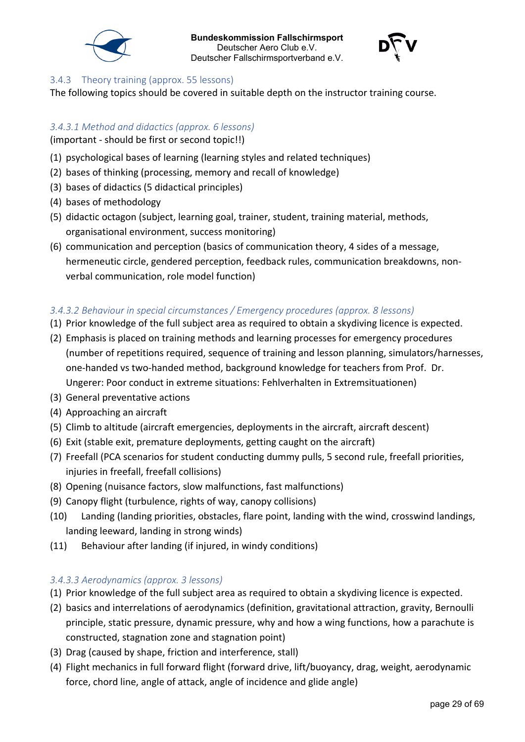



#### <span id="page-28-0"></span>3.4.3 Theory training (approx. 55 lessons)

The following topics should be covered in suitable depth on the instructor training course.

### <span id="page-28-1"></span>*3.4.3.1 Method and didactics (approx. 6 lessons)*

(important - should be first or second topic!!)

- (1) psychological bases of learning (learning styles and related techniques)
- (2) bases of thinking (processing, memory and recall of knowledge)
- (3) bases of didactics (5 didactical principles)
- (4) bases of methodology
- (5) didactic octagon (subject, learning goal, trainer, student, training material, methods, organisational environment, success monitoring)
- (6) communication and perception (basics of communication theory, 4 sides of a message, hermeneutic circle, gendered perception, feedback rules, communication breakdowns, nonverbal communication, role model function)

### <span id="page-28-2"></span>*3.4.3.2 Behaviour in special circumstances / Emergency procedures (approx. 8 lessons)*

- (1) Prior knowledge of the full subject area as required to obtain a skydiving licence is expected.
- (2) Emphasis is placed on training methods and learning processes for emergency procedures (number of repetitions required, sequence of training and lesson planning, simulators/harnesses, one-handed vs two-handed method, background knowledge for teachers from Prof. Dr. Ungerer: Poor conduct in extreme situations: Fehlverhalten in Extremsituationen)
- (3) General preventative actions
- (4) Approaching an aircraft
- (5) Climb to altitude (aircraft emergencies, deployments in the aircraft, aircraft descent)
- (6) Exit (stable exit, premature deployments, getting caught on the aircraft)
- (7) Freefall (PCA scenarios for student conducting dummy pulls, 5 second rule, freefall priorities, injuries in freefall, freefall collisions)
- (8) Opening (nuisance factors, slow malfunctions, fast malfunctions)
- (9) Canopy flight (turbulence, rights of way, canopy collisions)
- (10) Landing (landing priorities, obstacles, flare point, landing with the wind, crosswind landings, landing leeward, landing in strong winds)
- (11) Behaviour after landing (if injured, in windy conditions)

# <span id="page-28-3"></span>*3.4.3.3 Aerodynamics (approx. 3 lessons)*

- (1) Prior knowledge of the full subject area as required to obtain a skydiving licence is expected.
- (2) basics and interrelations of aerodynamics (definition, gravitational attraction, gravity, Bernoulli principle, static pressure, dynamic pressure, why and how a wing functions, how a parachute is constructed, stagnation zone and stagnation point)
- (3) Drag (caused by shape, friction and interference, stall)
- (4) Flight mechanics in full forward flight (forward drive, lift/buoyancy, drag, weight, aerodynamic force, chord line, angle of attack, angle of incidence and glide angle)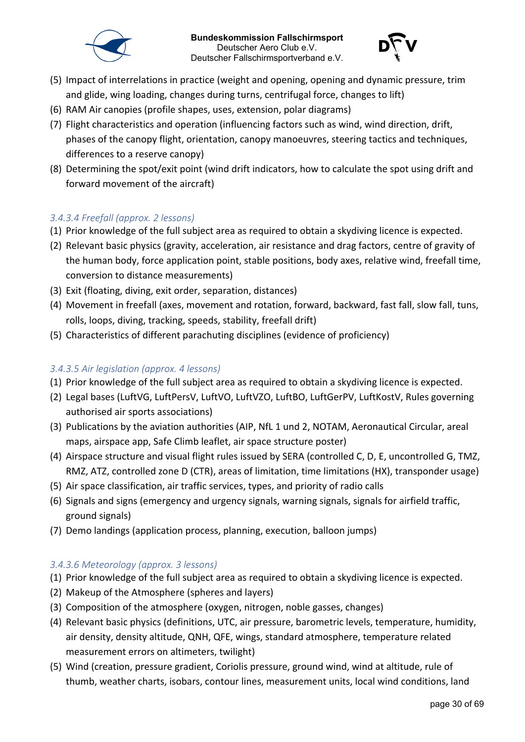



- (5) Impact of interrelations in practice (weight and opening, opening and dynamic pressure, trim and glide, wing loading, changes during turns, centrifugal force, changes to lift)
- (6) RAM Air canopies (profile shapes, uses, extension, polar diagrams)
- (7) Flight characteristics and operation (influencing factors such as wind, wind direction, drift, phases of the canopy flight, orientation, canopy manoeuvres, steering tactics and techniques, differences to a reserve canopy)
- (8) Determining the spot/exit point (wind drift indicators, how to calculate the spot using drift and forward movement of the aircraft)

#### <span id="page-29-0"></span>*3.4.3.4 Freefall (approx. 2 lessons)*

- (1) Prior knowledge of the full subject area as required to obtain a skydiving licence is expected.
- (2) Relevant basic physics (gravity, acceleration, air resistance and drag factors, centre of gravity of the human body, force application point, stable positions, body axes, relative wind, freefall time, conversion to distance measurements)
- (3) Exit (floating, diving, exit order, separation, distances)
- (4) Movement in freefall (axes, movement and rotation, forward, backward, fast fall, slow fall, tuns, rolls, loops, diving, tracking, speeds, stability, freefall drift)
- (5) Characteristics of different parachuting disciplines (evidence of proficiency)

#### <span id="page-29-1"></span>*3.4.3.5 Air legislation (approx. 4 lessons)*

- (1) Prior knowledge of the full subject area as required to obtain a skydiving licence is expected.
- (2) Legal bases (LuftVG, LuftPersV, LuftVO, LuftVZO, LuftBO, LuftGerPV, LuftKostV, Rules governing authorised air sports associations)
- (3) Publications by the aviation authorities (AIP, NfL 1 und 2, NOTAM, Aeronautical Circular, areal maps, airspace app, Safe Climb leaflet, air space structure poster)
- (4) Airspace structure and visual flight rules issued by SERA (controlled C, D, E, uncontrolled G, TMZ, RMZ, ATZ, controlled zone D (CTR), areas of limitation, time limitations (HX), transponder usage)
- (5) Air space classification, air traffic services, types, and priority of radio calls
- (6) Signals and signs (emergency and urgency signals, warning signals, signals for airfield traffic, ground signals)
- (7) Demo landings (application process, planning, execution, balloon jumps)

#### <span id="page-29-2"></span>*3.4.3.6 Meteorology (approx. 3 lessons)*

- (1) Prior knowledge of the full subject area as required to obtain a skydiving licence is expected.
- (2) Makeup of the Atmosphere (spheres and layers)
- (3) Composition of the atmosphere (oxygen, nitrogen, noble gasses, changes)
- (4) Relevant basic physics (definitions, UTC, air pressure, barometric levels, temperature, humidity, air density, density altitude, QNH, QFE, wings, standard atmosphere, temperature related measurement errors on altimeters, twilight)
- (5) Wind (creation, pressure gradient, Coriolis pressure, ground wind, wind at altitude, rule of thumb, weather charts, isobars, contour lines, measurement units, local wind conditions, land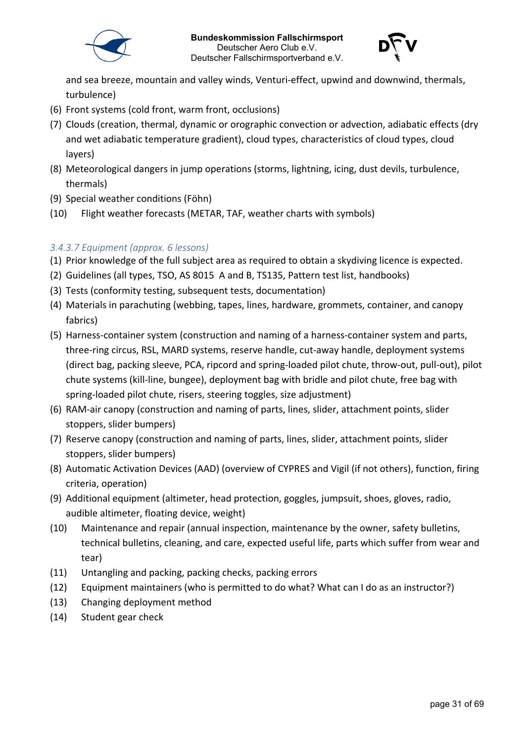



and sea breeze, mountain and valley winds, Venturi-effect, upwind and downwind, thermals, turbulence)

- (6) Front systems (cold front, warm front, occlusions)
- (7) Clouds (creation, thermal, dynamic or orographic convection or advection, adiabatic effects (dry and wet adiabatic temperature gradient), cloud types, characteristics of cloud types, cloud layers)
- (8) Meteorological dangers in jump operations (storms, lightning, icing, dust devils, turbulence, thermals)
- (9) Special weather conditions (Föhn)
- (10) Flight weather forecasts (METAR, TAF, weather charts with symbols)

#### <span id="page-30-0"></span>*3.4.3.7 Equipment (approx. 6 lessons)*

- (1) Prior knowledge of the full subject area as required to obtain a skydiving licence is expected.
- (2) Guidelines (all types, TSO, AS 8015 A and B, TS135, Pattern test list, handbooks)
- (3) Tests (conformity testing, subsequent tests, documentation)
- (4) Materials in parachuting (webbing, tapes, lines, hardware, grommets, container, and canopy fabrics)
- (5) Harness-container system (construction and naming of a harness-container system and parts, three-ring circus, RSL, MARD systems, reserve handle, cut-away handle, deployment systems (direct bag, packing sleeve, PCA, ripcord and spring-loaded pilot chute, throw-out, pull-out), pilot chute systems (kill-line, bungee), deployment bag with bridle and pilot chute, free bag with spring-loaded pilot chute, risers, steering toggles, size adjustment)
- (6) RAM-air canopy (construction and naming of parts, lines, slider, attachment points, slider stoppers, slider bumpers)
- (7) Reserve canopy (construction and naming of parts, lines, slider, attachment points, slider stoppers, slider bumpers)
- (8) Automatic Activation Devices (AAD) (overview of CYPRES and Vigil (if not others), function, firing criteria, operation)
- (9) Additional equipment (altimeter, head protection, goggles, jumpsuit, shoes, gloves, radio, audible altimeter, floating device, weight)
- (10) Maintenance and repair (annual inspection, maintenance by the owner, safety bulletins, technical bulletins, cleaning, and care, expected useful life, parts which suffer from wear and tear)
- (11) Untangling and packing, packing checks, packing errors
- (12) Equipment maintainers (who is permitted to do what? What can I do as an instructor?)
- (13) Changing deployment method
- (14) Student gear check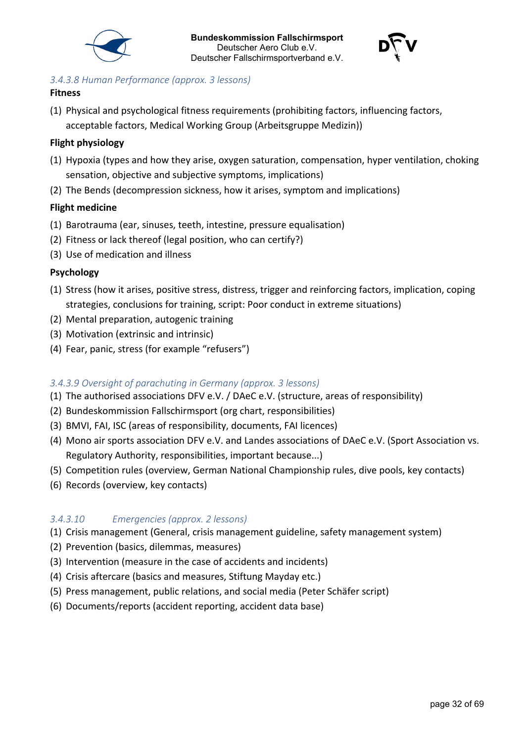



### <span id="page-31-0"></span>*3.4.3.8 Human Performance (approx. 3 lessons)*

#### **Fitness**

(1) Physical and psychological fitness requirements (prohibiting factors, influencing factors, acceptable factors, Medical Working Group (Arbeitsgruppe Medizin))

### **Flight physiology**

- (1) Hypoxia (types and how they arise, oxygen saturation, compensation, hyper ventilation, choking sensation, objective and subjective symptoms, implications)
- (2) The Bends (decompression sickness, how it arises, symptom and implications)

### **Flight medicine**

- (1) Barotrauma (ear, sinuses, teeth, intestine, pressure equalisation)
- (2) Fitness or lack thereof (legal position, who can certify?)
- (3) Use of medication and illness

### **Psychology**

- (1) Stress (how it arises, positive stress, distress, trigger and reinforcing factors, implication, coping strategies, conclusions for training, script: Poor conduct in extreme situations)
- (2) Mental preparation, autogenic training
- (3) Motivation (extrinsic and intrinsic)
- (4) Fear, panic, stress (for example "refusers")

# <span id="page-31-1"></span>*3.4.3.9 Oversight of parachuting in Germany (approx. 3 lessons)*

- (1) The authorised associations DFV e.V. / DAeC e.V. (structure, areas of responsibility)
- (2) Bundeskommission Fallschirmsport (org chart, responsibilities)
- (3) BMVI, FAI, ISC (areas of responsibility, documents, FAI licences)
- (4) Mono air sports association DFV e.V. and Landes associations of DAeC e.V. (Sport Association vs. Regulatory Authority, responsibilities, important because...)
- (5) Competition rules (overview, German National Championship rules, dive pools, key contacts)
- (6) Records (overview, key contacts)

# <span id="page-31-2"></span>*3.4.3.10 Emergencies (approx. 2 lessons)*

- (1) Crisis management (General, crisis management guideline, safety management system)
- (2) Prevention (basics, dilemmas, measures)
- (3) Intervention (measure in the case of accidents and incidents)
- (4) Crisis aftercare (basics and measures, Stiftung Mayday etc.)
- (5) Press management, public relations, and social media (Peter Schäfer script)
- (6) Documents/reports (accident reporting, accident data base)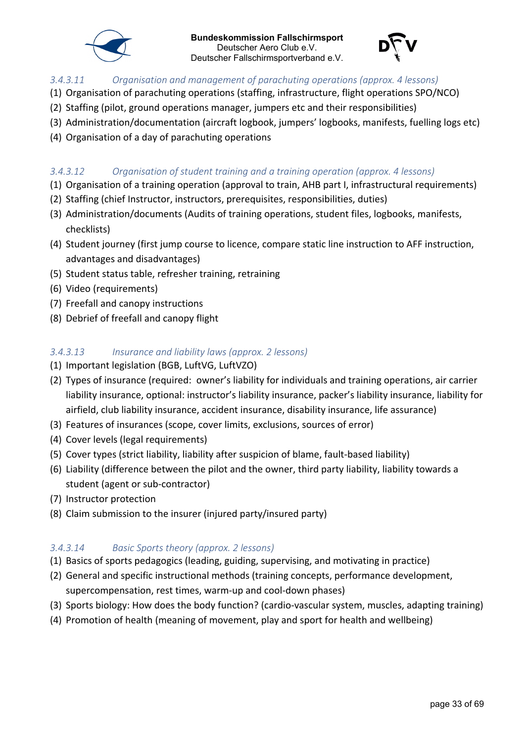



#### <span id="page-32-0"></span>*3.4.3.11 Organisation and management of parachuting operations (approx. 4 lessons)*

- (1) Organisation of parachuting operations (staffing, infrastructure, flight operations SPO/NCO)
- (2) Staffing (pilot, ground operations manager, jumpers etc and their responsibilities)
- (3) Administration/documentation (aircraft logbook, jumpers' logbooks, manifests, fuelling logs etc)
- (4) Organisation of a day of parachuting operations

#### <span id="page-32-1"></span>*3.4.3.12 Organisation of student training and a training operation (approx. 4 lessons)*

- (1) Organisation of a training operation (approval to train, AHB part I, infrastructural requirements)
- (2) Staffing (chief Instructor, instructors, prerequisites, responsibilities, duties)
- (3) Administration/documents (Audits of training operations, student files, logbooks, manifests, checklists)
- (4) Student journey (first jump course to licence, compare static line instruction to AFF instruction, advantages and disadvantages)
- (5) Student status table, refresher training, retraining
- (6) Video (requirements)
- (7) Freefall and canopy instructions
- (8) Debrief of freefall and canopy flight

#### <span id="page-32-2"></span>*3.4.3.13 Insurance and liability laws (approx. 2 lessons)*

- (1) Important legislation (BGB, LuftVG, LuftVZO)
- (2) Types of insurance (required: owner's liability for individuals and training operations, air carrier liability insurance, optional: instructor's liability insurance, packer's liability insurance, liability for airfield, club liability insurance, accident insurance, disability insurance, life assurance)
- (3) Features of insurances (scope, cover limits, exclusions, sources of error)
- (4) Cover levels (legal requirements)
- (5) Cover types (strict liability, liability after suspicion of blame, fault-based liability)
- (6) Liability (difference between the pilot and the owner, third party liability, liability towards a student (agent or sub-contractor)
- (7) Instructor protection
- (8) Claim submission to the insurer (injured party/insured party)

#### <span id="page-32-3"></span>*3.4.3.14 Basic Sports theory (approx. 2 lessons)*

- (1) Basics of sports pedagogics (leading, guiding, supervising, and motivating in practice)
- (2) General and specific instructional methods (training concepts, performance development, supercompensation, rest times, warm-up and cool-down phases)
- (3) Sports biology: How does the body function? (cardio-vascular system, muscles, adapting training)
- (4) Promotion of health (meaning of movement, play and sport for health and wellbeing)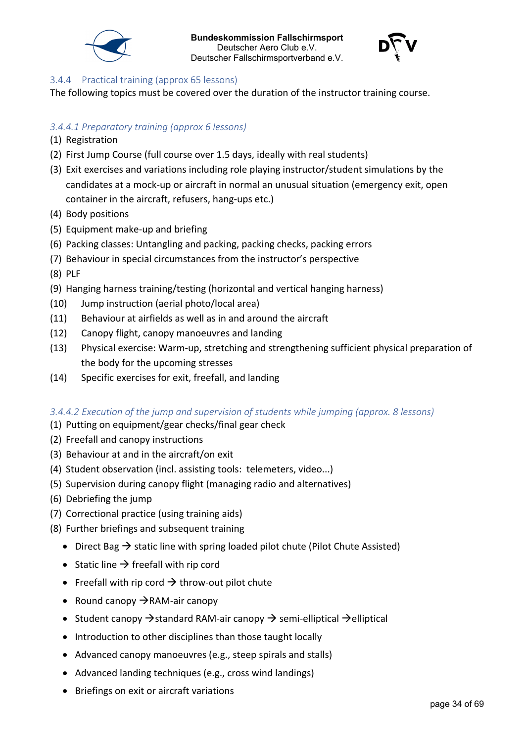



#### <span id="page-33-0"></span>3.4.4 Practical training (approx 65 lessons)

The following topics must be covered over the duration of the instructor training course.

### <span id="page-33-1"></span>*3.4.4.1 Preparatory training (approx 6 lessons)*

- (1) Registration
- (2) First Jump Course (full course over 1.5 days, ideally with real students)
- (3) Exit exercises and variations including role playing instructor/student simulations by the candidates at a mock-up or aircraft in normal an unusual situation (emergency exit, open container in the aircraft, refusers, hang-ups etc.)
- (4) Body positions
- (5) Equipment make-up and briefing
- (6) Packing classes: Untangling and packing, packing checks, packing errors
- (7) Behaviour in special circumstances from the instructor's perspective
- (8) PLF
- (9) Hanging harness training/testing (horizontal and vertical hanging harness)
- (10) Jump instruction (aerial photo/local area)
- (11) Behaviour at airfields as well as in and around the aircraft
- (12) Canopy flight, canopy manoeuvres and landing
- (13) Physical exercise: Warm-up, stretching and strengthening sufficient physical preparation of the body for the upcoming stresses
- (14) Specific exercises for exit, freefall, and landing

#### <span id="page-33-2"></span>*3.4.4.2 Execution of the jump and supervision of students while jumping (approx. 8 lessons)*

- (1) Putting on equipment/gear checks/final gear check
- (2) Freefall and canopy instructions
- (3) Behaviour at and in the aircraft/on exit
- (4) Student observation (incl. assisting tools: telemeters, video...)
- (5) Supervision during canopy flight (managing radio and alternatives)
- (6) Debriefing the jump
- (7) Correctional practice (using training aids)
- (8) Further briefings and subsequent training
	- Direct Bag  $\rightarrow$  static line with spring loaded pilot chute (Pilot Chute Assisted)
	- Static line  $\rightarrow$  freefall with rip cord
	- Freefall with rip cord  $\rightarrow$  throw-out pilot chute
	- Round canopy  $\rightarrow$  RAM-air canopy
	- Student canopy  $\rightarrow$  standard RAM-air canopy  $\rightarrow$  semi-elliptical  $\rightarrow$ elliptical
	- Introduction to other disciplines than those taught locally
	- Advanced canopy manoeuvres (e.g., steep spirals and stalls)
	- Advanced landing techniques (e.g., cross wind landings)
	- Briefings on exit or aircraft variations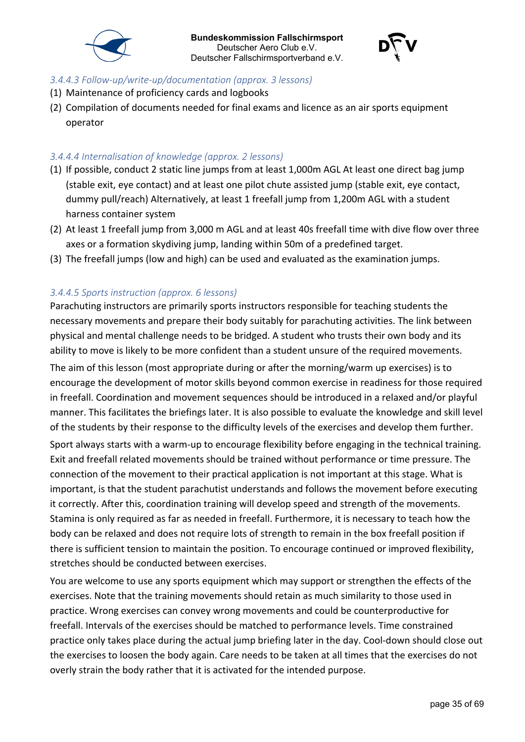



#### <span id="page-34-0"></span>*3.4.4.3 Follow-up/write-up/documentation (approx. 3 lessons)*

- (1) Maintenance of proficiency cards and logbooks
- (2) Compilation of documents needed for final exams and licence as an air sports equipment operator

### <span id="page-34-1"></span>*3.4.4.4 Internalisation of knowledge (approx. 2 lessons)*

- (1) If possible, conduct 2 static line jumps from at least 1,000m AGL At least one direct bag jump (stable exit, eye contact) and at least one pilot chute assisted jump (stable exit, eye contact, dummy pull/reach) Alternatively, at least 1 freefall jump from 1,200m AGL with a student harness container system
- (2) At least 1 freefall jump from 3,000 m AGL and at least 40s freefall time with dive flow over three axes or a formation skydiving jump, landing within 50m of a predefined target.
- (3) The freefall jumps (low and high) can be used and evaluated as the examination jumps.

# <span id="page-34-2"></span>*3.4.4.5 Sports instruction (approx. 6 lessons)*

Parachuting instructors are primarily sports instructors responsible for teaching students the necessary movements and prepare their body suitably for parachuting activities. The link between physical and mental challenge needs to be bridged. A student who trusts their own body and its ability to move is likely to be more confident than a student unsure of the required movements.

The aim of this lesson (most appropriate during or after the morning/warm up exercises) is to encourage the development of motor skills beyond common exercise in readiness for those required in freefall. Coordination and movement sequences should be introduced in a relaxed and/or playful manner. This facilitates the briefings later. It is also possible to evaluate the knowledge and skill level of the students by their response to the difficulty levels of the exercises and develop them further.

Sport always starts with a warm-up to encourage flexibility before engaging in the technical training. Exit and freefall related movements should be trained without performance or time pressure. The connection of the movement to their practical application is not important at this stage. What is important, is that the student parachutist understands and follows the movement before executing it correctly. After this, coordination training will develop speed and strength of the movements. Stamina is only required as far as needed in freefall. Furthermore, it is necessary to teach how the body can be relaxed and does not require lots of strength to remain in the box freefall position if there is sufficient tension to maintain the position. To encourage continued or improved flexibility, stretches should be conducted between exercises.

You are welcome to use any sports equipment which may support or strengthen the effects of the exercises. Note that the training movements should retain as much similarity to those used in practice. Wrong exercises can convey wrong movements and could be counterproductive for freefall. Intervals of the exercises should be matched to performance levels. Time constrained practice only takes place during the actual jump briefing later in the day. Cool-down should close out the exercises to loosen the body again. Care needs to be taken at all times that the exercises do not overly strain the body rather that it is activated for the intended purpose.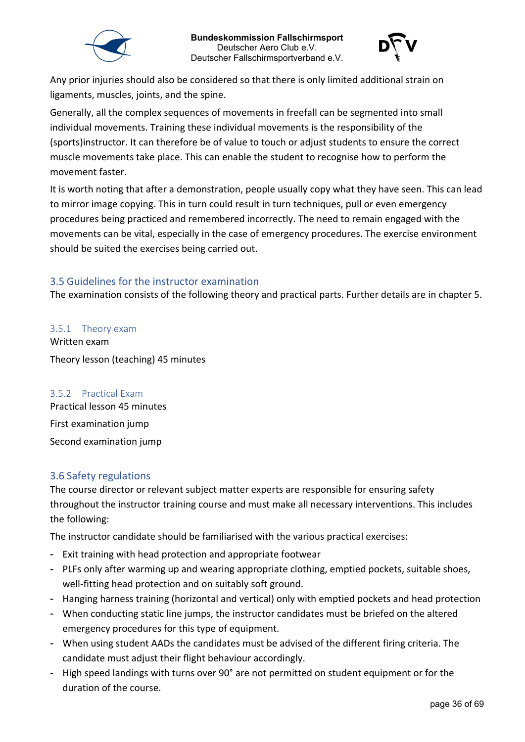



Any prior injuries should also be considered so that there is only limited additional strain on ligaments, muscles, joints, and the spine.

Generally, all the complex sequences of movements in freefall can be segmented into small individual movements. Training these individual movements is the responsibility of the (sports)instructor. It can therefore be of value to touch or adjust students to ensure the correct muscle movements take place. This can enable the student to recognise how to perform the movement faster.

It is worth noting that after a demonstration, people usually copy what they have seen. This can lead to mirror image copying. This in turn could result in turn techniques, pull or even emergency procedures being practiced and remembered incorrectly. The need to remain engaged with the movements can be vital, especially in the case of emergency procedures. The exercise environment should be suited the exercises being carried out.

#### <span id="page-35-0"></span>3.5 Guidelines for the instructor examination

The examination consists of the following theory and practical parts. Further details are in chapter 5.

<span id="page-35-1"></span>3.5.1 Theory exam Written exam Theory lesson (teaching) 45 minutes

#### <span id="page-35-2"></span>3.5.2 Practical Exam

Practical lesson 45 minutes First examination jump Second examination jump

#### <span id="page-35-3"></span>3.6 Safety regulations

The course director or relevant subject matter experts are responsible for ensuring safety throughout the instructor training course and must make all necessary interventions. This includes the following:

The instructor candidate should be familiarised with the various practical exercises:

- Exit training with head protection and appropriate footwear
- PLFs only after warming up and wearing appropriate clothing, emptied pockets, suitable shoes, well-fitting head protection and on suitably soft ground.
- Hanging harness training (horizontal and vertical) only with emptied pockets and head protection
- When conducting static line jumps, the instructor candidates must be briefed on the altered emergency procedures for this type of equipment.
- When using student AADs the candidates must be advised of the different firing criteria. The candidate must adjust their flight behaviour accordingly.
- High speed landings with turns over 90° are not permitted on student equipment or for the duration of the course.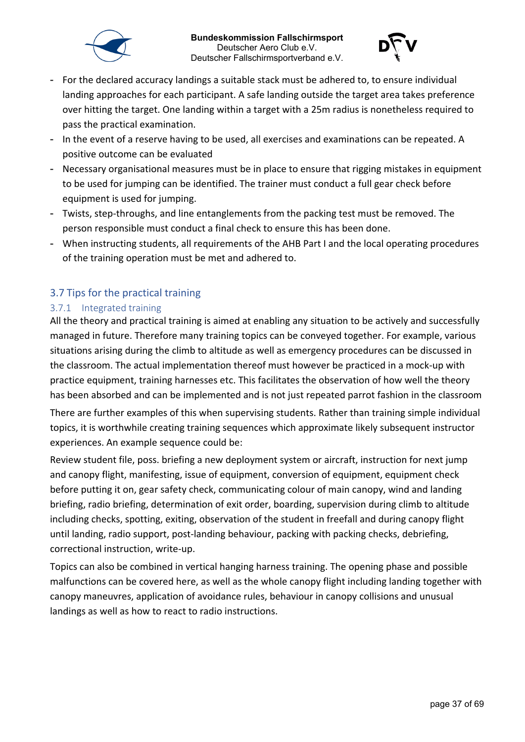



- For the declared accuracy landings a suitable stack must be adhered to, to ensure individual landing approaches for each participant. A safe landing outside the target area takes preference over hitting the target. One landing within a target with a 25m radius is nonetheless required to pass the practical examination.
- In the event of a reserve having to be used, all exercises and examinations can be repeated. A positive outcome can be evaluated
- Necessary organisational measures must be in place to ensure that rigging mistakes in equipment to be used for jumping can be identified. The trainer must conduct a full gear check before equipment is used for jumping.
- Twists, step-throughs, and line entanglements from the packing test must be removed. The person responsible must conduct a final check to ensure this has been done.
- When instructing students, all requirements of the AHB Part I and the local operating procedures of the training operation must be met and adhered to.

# <span id="page-36-0"></span>3.7 Tips for the practical training

#### <span id="page-36-1"></span>3.7.1 Integrated training

All the theory and practical training is aimed at enabling any situation to be actively and successfully managed in future. Therefore many training topics can be conveyed together. For example, various situations arising during the climb to altitude as well as emergency procedures can be discussed in the classroom. The actual implementation thereof must however be practiced in a mock-up with practice equipment, training harnesses etc. This facilitates the observation of how well the theory has been absorbed and can be implemented and is not just repeated parrot fashion in the classroom

There are further examples of this when supervising students. Rather than training simple individual topics, it is worthwhile creating training sequences which approximate likely subsequent instructor experiences. An example sequence could be:

Review student file, poss. briefing a new deployment system or aircraft, instruction for next jump and canopy flight, manifesting, issue of equipment, conversion of equipment, equipment check before putting it on, gear safety check, communicating colour of main canopy, wind and landing briefing, radio briefing, determination of exit order, boarding, supervision during climb to altitude including checks, spotting, exiting, observation of the student in freefall and during canopy flight until landing, radio support, post-landing behaviour, packing with packing checks, debriefing, correctional instruction, write-up.

Topics can also be combined in vertical hanging harness training. The opening phase and possible malfunctions can be covered here, as well as the whole canopy flight including landing together with canopy maneuvres, application of avoidance rules, behaviour in canopy collisions and unusual landings as well as how to react to radio instructions.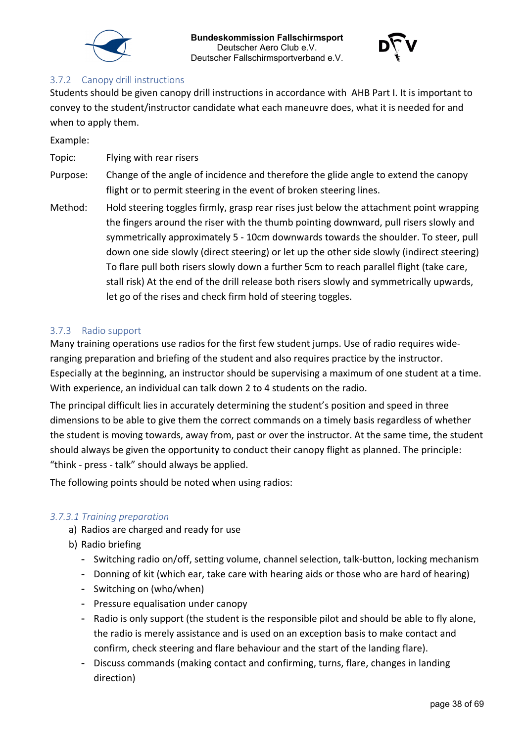



#### <span id="page-37-0"></span>3.7.2 Canopy drill instructions

Students should be given canopy drill instructions in accordance with AHB Part I. It is important to convey to the student/instructor candidate what each maneuvre does, what it is needed for and when to apply them.

Example:

Topic: Flying with rear risers

- Purpose: Change of the angle of incidence and therefore the glide angle to extend the canopy flight or to permit steering in the event of broken steering lines.
- Method: Hold steering toggles firmly, grasp rear rises just below the attachment point wrapping the fingers around the riser with the thumb pointing downward, pull risers slowly and symmetrically approximately 5 - 10cm downwards towards the shoulder. To steer, pull down one side slowly (direct steering) or let up the other side slowly (indirect steering) To flare pull both risers slowly down a further 5cm to reach parallel flight (take care, stall risk) At the end of the drill release both risers slowly and symmetrically upwards, let go of the rises and check firm hold of steering toggles.

#### <span id="page-37-1"></span>3.7.3 Radio support

Many training operations use radios for the first few student jumps. Use of radio requires wideranging preparation and briefing of the student and also requires practice by the instructor. Especially at the beginning, an instructor should be supervising a maximum of one student at a time. With experience, an individual can talk down 2 to 4 students on the radio.

The principal difficult lies in accurately determining the student's position and speed in three dimensions to be able to give them the correct commands on a timely basis regardless of whether the student is moving towards, away from, past or over the instructor. At the same time, the student should always be given the opportunity to conduct their canopy flight as planned. The principle: "think - press - talk" should always be applied.

The following points should be noted when using radios:

#### <span id="page-37-2"></span>*3.7.3.1 Training preparation*

- a) Radios are charged and ready for use
- b) Radio briefing
	- Switching radio on/off, setting volume, channel selection, talk-button, locking mechanism
	- Donning of kit (which ear, take care with hearing aids or those who are hard of hearing)
	- Switching on (who/when)
	- Pressure equalisation under canopy
	- Radio is only support (the student is the responsible pilot and should be able to fly alone, the radio is merely assistance and is used on an exception basis to make contact and confirm, check steering and flare behaviour and the start of the landing flare).
	- Discuss commands (making contact and confirming, turns, flare, changes in landing direction)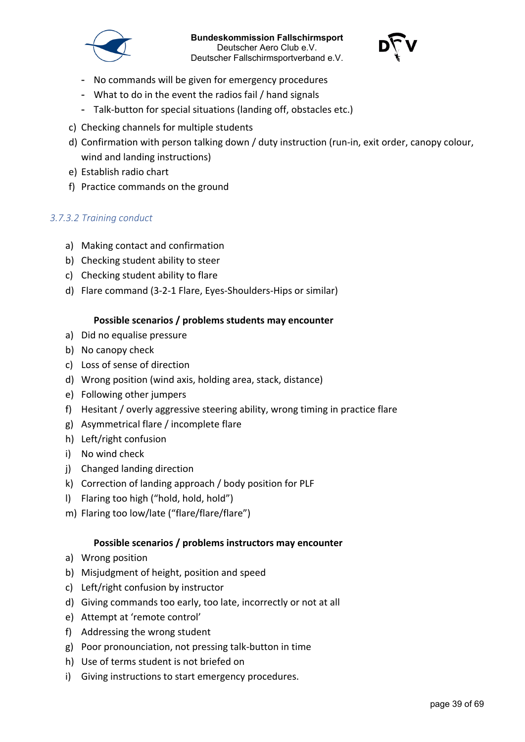



- No commands will be given for emergency procedures
- What to do in the event the radios fail / hand signals
- Talk-button for special situations (landing off, obstacles etc.)
- c) Checking channels for multiple students
- d) Confirmation with person talking down / duty instruction (run-in, exit order, canopy colour, wind and landing instructions)
- e) Establish radio chart
- f) Practice commands on the ground

#### <span id="page-38-0"></span>*3.7.3.2 Training conduct*

- a) Making contact and confirmation
- b) Checking student ability to steer
- c) Checking student ability to flare
- d) Flare command (3-2-1 Flare, Eyes-Shoulders-Hips or similar)

#### **Possible scenarios / problems students may encounter**

- a) Did no equalise pressure
- b) No canopy check
- c) Loss of sense of direction
- d) Wrong position (wind axis, holding area, stack, distance)
- e) Following other jumpers
- f) Hesitant / overly aggressive steering ability, wrong timing in practice flare
- g) Asymmetrical flare / incomplete flare
- h) Left/right confusion
- i) No wind check
- j) Changed landing direction
- k) Correction of landing approach / body position for PLF
- l) Flaring too high ("hold, hold, hold")
- m) Flaring too low/late ("flare/flare/flare")

#### **Possible scenarios / problems instructors may encounter**

- a) Wrong position
- b) Misjudgment of height, position and speed
- c) Left/right confusion by instructor
- d) Giving commands too early, too late, incorrectly or not at all
- e) Attempt at 'remote control'
- f) Addressing the wrong student
- g) Poor pronounciation, not pressing talk-button in time
- h) Use of terms student is not briefed on
- i) Giving instructions to start emergency procedures.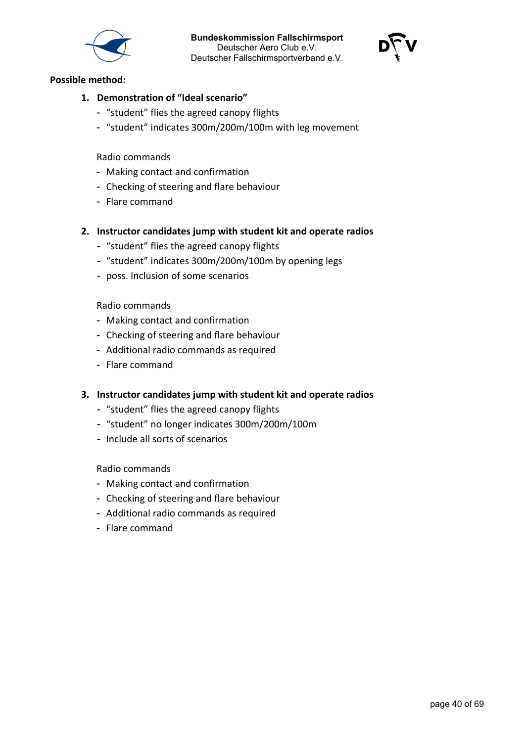



#### **Possible method:**

- **1. Demonstration of "Ideal scenario"**
	- "student" flies the agreed canopy flights
	- "student" indicates 300m/200m/100m with leg movement

Radio commands

- Making contact and confirmation
- Checking of steering and flare behaviour
- Flare command
- **2. Instructor candidates jump with student kit and operate radios**
	- "student" flies the agreed canopy flights
	- "student" indicates 300m/200m/100m by opening legs
	- poss. Inclusion of some scenarios

Radio commands

- Making contact and confirmation
- Checking of steering and flare behaviour
- Additional radio commands as required
- Flare command
- **3. Instructor candidates jump with student kit and operate radios**
	- "student" flies the agreed canopy flights
	- "student" no longer indicates 300m/200m/100m
	- Include all sorts of scenarios

Radio commands

- Making contact and confirmation
- Checking of steering and flare behaviour
- Additional radio commands as required
- Flare command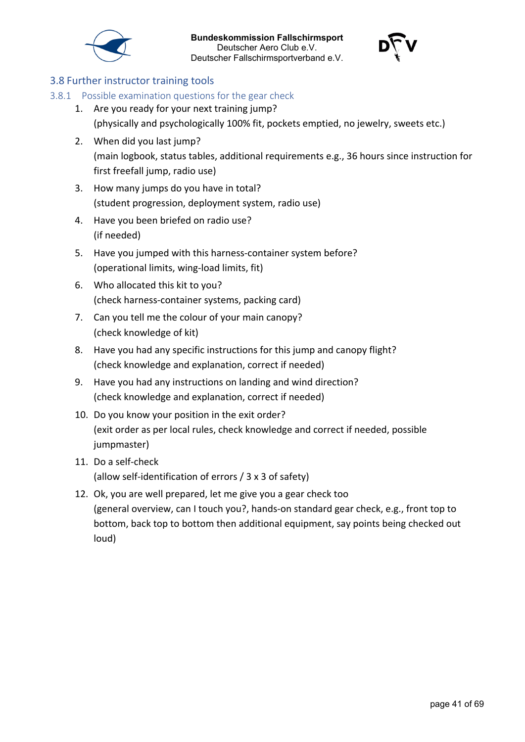



### <span id="page-40-0"></span>3.8 Further instructor training tools

- <span id="page-40-1"></span>3.8.1 Possible examination questions for the gear check
	- 1. Are you ready for your next training jump? (physically and psychologically 100% fit, pockets emptied, no jewelry, sweets etc.)
	- 2. When did you last jump? (main logbook, status tables, additional requirements e.g., 36 hours since instruction for first freefall jump, radio use)
	- 3. How many jumps do you have in total? (student progression, deployment system, radio use)
	- 4. Have you been briefed on radio use? (if needed)
	- 5. Have you jumped with this harness-container system before? (operational limits, wing-load limits, fit)
	- 6. Who allocated this kit to you? (check harness-container systems, packing card)
	- 7. Can you tell me the colour of your main canopy? (check knowledge of kit)
	- 8. Have you had any specific instructions for this jump and canopy flight? (check knowledge and explanation, correct if needed)
	- 9. Have you had any instructions on landing and wind direction? (check knowledge and explanation, correct if needed)
	- 10. Do you know your position in the exit order? (exit order as per local rules, check knowledge and correct if needed, possible jumpmaster)
	- 11. Do a self-check (allow self-identification of errors / 3 x 3 of safety)
	- 12. Ok, you are well prepared, let me give you a gear check too (general overview, can I touch you?, hands-on standard gear check, e.g., front top to bottom, back top to bottom then additional equipment, say points being checked out loud)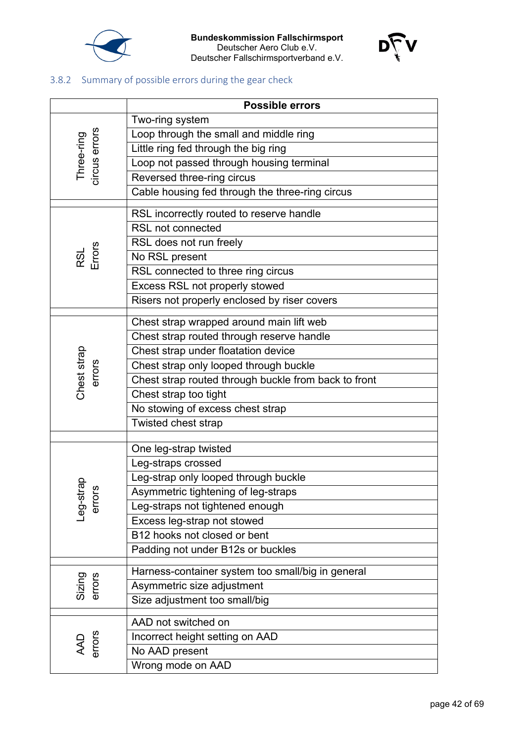



# <span id="page-41-0"></span>3.8.2 Summary of possible errors during the gear check

|                             | <b>Possible errors</b>                               |  |  |  |  |  |
|-----------------------------|------------------------------------------------------|--|--|--|--|--|
|                             | Two-ring system                                      |  |  |  |  |  |
|                             | Loop through the small and middle ring               |  |  |  |  |  |
|                             | Little ring fed through the big ring                 |  |  |  |  |  |
|                             | Loop not passed through housing terminal             |  |  |  |  |  |
| Three-ring<br>circus errors | Reversed three-ring circus                           |  |  |  |  |  |
|                             | Cable housing fed through the three-ring circus      |  |  |  |  |  |
|                             | RSL incorrectly routed to reserve handle             |  |  |  |  |  |
|                             | <b>RSL not connected</b>                             |  |  |  |  |  |
|                             | RSL does not run freely                              |  |  |  |  |  |
| RSL<br>Errors               | No RSL present                                       |  |  |  |  |  |
|                             | RSL connected to three ring circus                   |  |  |  |  |  |
|                             | Excess RSL not properly stowed                       |  |  |  |  |  |
|                             | Risers not properly enclosed by riser covers         |  |  |  |  |  |
|                             |                                                      |  |  |  |  |  |
|                             | Chest strap wrapped around main lift web             |  |  |  |  |  |
|                             | Chest strap routed through reserve handle            |  |  |  |  |  |
| Chest strap<br>errors       | Chest strap under floatation device                  |  |  |  |  |  |
|                             | Chest strap only looped through buckle               |  |  |  |  |  |
|                             | Chest strap routed through buckle from back to front |  |  |  |  |  |
|                             | Chest strap too tight                                |  |  |  |  |  |
|                             | No stowing of excess chest strap                     |  |  |  |  |  |
|                             | Twisted chest strap                                  |  |  |  |  |  |
|                             | One leg-strap twisted                                |  |  |  |  |  |
|                             | Leg-straps crossed                                   |  |  |  |  |  |
|                             | Leg-strap only looped through buckle                 |  |  |  |  |  |
| dβ<br>ທ                     | Asymmetric tightening of leg-straps                  |  |  |  |  |  |
| -eg-str<br>error            | Leg-straps not tightened enough                      |  |  |  |  |  |
|                             | Excess leg-strap not stowed                          |  |  |  |  |  |
|                             | B12 hooks not closed or bent                         |  |  |  |  |  |
|                             | Padding not under B12s or buckles                    |  |  |  |  |  |
|                             | Harness-container system too small/big in general    |  |  |  |  |  |
| Sizing<br>errors            | Asymmetric size adjustment                           |  |  |  |  |  |
|                             | Size adjustment too small/big                        |  |  |  |  |  |
|                             | AAD not switched on                                  |  |  |  |  |  |
|                             | Incorrect height setting on AAD                      |  |  |  |  |  |
| AAD<br>errors               | No AAD present                                       |  |  |  |  |  |
|                             | Wrong mode on AAD                                    |  |  |  |  |  |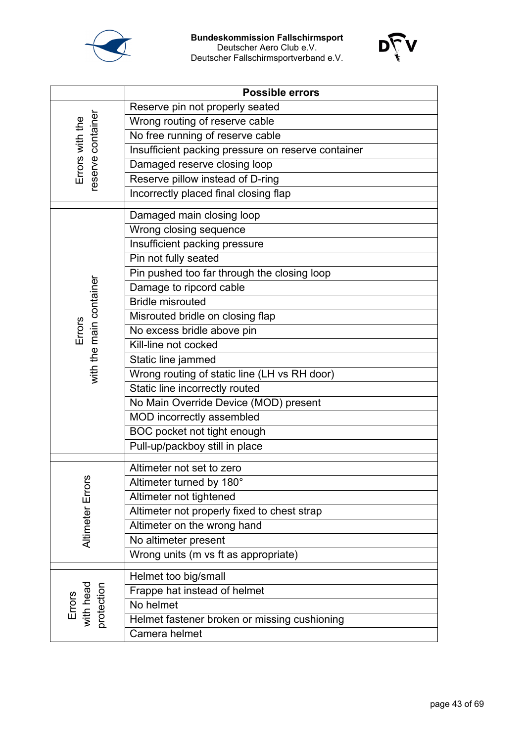



|                                     | <b>Possible errors</b>                             |  |  |  |  |  |
|-------------------------------------|----------------------------------------------------|--|--|--|--|--|
|                                     | Reserve pin not properly seated                    |  |  |  |  |  |
|                                     | Wrong routing of reserve cable                     |  |  |  |  |  |
|                                     | No free running of reserve cable                   |  |  |  |  |  |
| eserve container<br>Errors with the | Insufficient packing pressure on reserve container |  |  |  |  |  |
|                                     | Damaged reserve closing loop                       |  |  |  |  |  |
|                                     | Reserve pillow instead of D-ring                   |  |  |  |  |  |
|                                     | Incorrectly placed final closing flap              |  |  |  |  |  |
|                                     | Damaged main closing loop                          |  |  |  |  |  |
|                                     | Wrong closing sequence                             |  |  |  |  |  |
|                                     | <b>Insufficient packing pressure</b>               |  |  |  |  |  |
|                                     | Pin not fully seated                               |  |  |  |  |  |
|                                     | Pin pushed too far through the closing loop        |  |  |  |  |  |
|                                     | Damage to ripcord cable                            |  |  |  |  |  |
| with the main container             | <b>Bridle misrouted</b>                            |  |  |  |  |  |
|                                     | Misrouted bridle on closing flap                   |  |  |  |  |  |
| Errors                              | No excess bridle above pin                         |  |  |  |  |  |
|                                     | Kill-line not cocked                               |  |  |  |  |  |
|                                     | Static line jammed                                 |  |  |  |  |  |
|                                     | Wrong routing of static line (LH vs RH door)       |  |  |  |  |  |
|                                     | Static line incorrectly routed                     |  |  |  |  |  |
|                                     | No Main Override Device (MOD) present              |  |  |  |  |  |
|                                     | MOD incorrectly assembled                          |  |  |  |  |  |
|                                     | BOC pocket not tight enough                        |  |  |  |  |  |
|                                     | Pull-up/packboy still in place                     |  |  |  |  |  |
|                                     | Altimeter not set to zero                          |  |  |  |  |  |
| 6,                                  | Altimeter turned by 180°                           |  |  |  |  |  |
|                                     | Altimeter not tightened                            |  |  |  |  |  |
| Altimeter Erro                      | Altimeter not properly fixed to chest strap        |  |  |  |  |  |
|                                     | Altimeter on the wrong hand                        |  |  |  |  |  |
|                                     | No altimeter present                               |  |  |  |  |  |
|                                     | Wrong units (m vs ft as appropriate)               |  |  |  |  |  |
|                                     |                                                    |  |  |  |  |  |
|                                     | Helmet too big/small                               |  |  |  |  |  |
| Errors<br>with head<br>protection   | Frappe hat instead of helmet                       |  |  |  |  |  |
|                                     | No helmet                                          |  |  |  |  |  |
|                                     | Helmet fastener broken or missing cushioning       |  |  |  |  |  |
|                                     | Camera helmet                                      |  |  |  |  |  |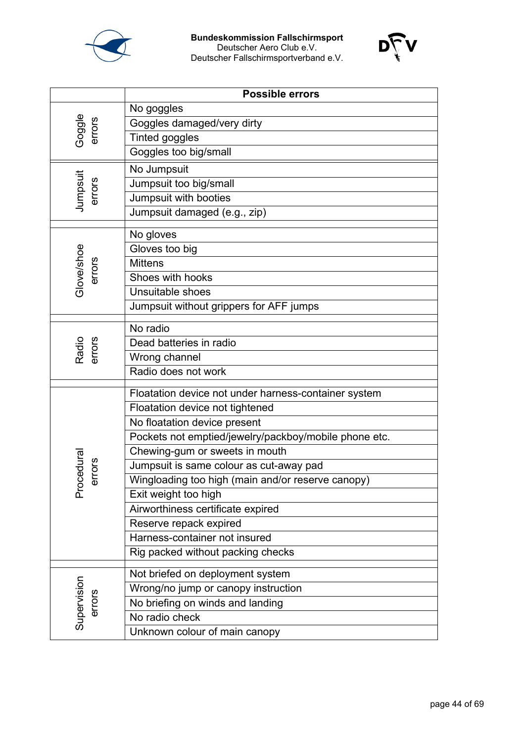



|                      | <b>Possible errors</b>                                |
|----------------------|-------------------------------------------------------|
|                      | No goggles                                            |
|                      | Goggles damaged/very dirty                            |
| Goggle<br>errors     | <b>Tinted goggles</b>                                 |
|                      | Goggles too big/small                                 |
|                      | No Jumpsuit                                           |
| Jumpsuit<br>errors   | Jumpsuit too big/small                                |
|                      | Jumpsuit with booties                                 |
|                      | Jumpsuit damaged (e.g., zip)                          |
|                      | No gloves                                             |
|                      | Gloves too big                                        |
|                      | <b>Mittens</b>                                        |
| Glove/shoe<br>errors | Shoes with hooks                                      |
|                      | Unsuitable shoes                                      |
|                      | Jumpsuit without grippers for AFF jumps               |
|                      | No radio                                              |
|                      | Dead batteries in radio                               |
| Radio<br>errors      | Wrong channel                                         |
|                      | Radio does not work                                   |
|                      |                                                       |
|                      | Floatation device not under harness-container system  |
|                      | Floatation device not tightened                       |
|                      | No floatation device present                          |
|                      | Pockets not emptied/jewelry/packboy/mobile phone etc. |
|                      | Chewing-gum or sweets in mouth                        |
| cedura<br>errors     | Jumpsuit is same colour as cut-away pad               |
| Pro                  | Wingloading too high (main and/or reserve canopy)     |
|                      | Exit weight too high                                  |
|                      | Airworthiness certificate expired                     |
|                      | Reserve repack expired                                |
|                      | Harness-container not insured                         |
|                      | Rig packed without packing checks                     |
|                      | Not briefed on deployment system                      |
| Supervision          | Wrong/no jump or canopy instruction                   |
| errors               | No briefing on winds and landing                      |
|                      | No radio check                                        |
|                      | Unknown colour of main canopy                         |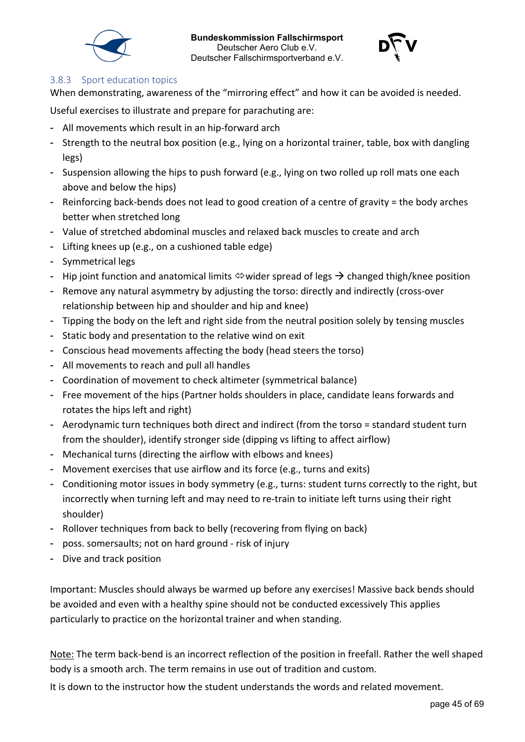



#### <span id="page-44-0"></span>3.8.3 Sport education topics

When demonstrating, awareness of the "mirroring effect" and how it can be avoided is needed.

Useful exercises to illustrate and prepare for parachuting are:

- All movements which result in an hip-forward arch
- Strength to the neutral box position (e.g., lying on a horizontal trainer, table, box with dangling legs)
- Suspension allowing the hips to push forward (e.g., lying on two rolled up roll mats one each above and below the hips)
- Reinforcing back-bends does not lead to good creation of a centre of gravity = the body arches better when stretched long
- Value of stretched abdominal muscles and relaxed back muscles to create and arch
- Lifting knees up (e.g., on a cushioned table edge)
- Symmetrical legs
- Hip joint function and anatomical limits  $\Leftrightarrow$  wider spread of legs  $\rightarrow$  changed thigh/knee position
- Remove any natural asymmetry by adjusting the torso: directly and indirectly (cross-over relationship between hip and shoulder and hip and knee)
- Tipping the body on the left and right side from the neutral position solely by tensing muscles
- Static body and presentation to the relative wind on exit
- Conscious head movements affecting the body (head steers the torso)
- All movements to reach and pull all handles
- Coordination of movement to check altimeter (symmetrical balance)
- Free movement of the hips (Partner holds shoulders in place, candidate leans forwards and rotates the hips left and right)
- Aerodynamic turn techniques both direct and indirect (from the torso = standard student turn from the shoulder), identify stronger side (dipping vs lifting to affect airflow)
- Mechanical turns (directing the airflow with elbows and knees)
- Movement exercises that use airflow and its force (e.g., turns and exits)
- Conditioning motor issues in body symmetry (e.g., turns: student turns correctly to the right, but incorrectly when turning left and may need to re-train to initiate left turns using their right shoulder)
- Rollover techniques from back to belly (recovering from flying on back)
- poss. somersaults; not on hard ground risk of injury
- Dive and track position

Important: Muscles should always be warmed up before any exercises! Massive back bends should be avoided and even with a healthy spine should not be conducted excessively This applies particularly to practice on the horizontal trainer and when standing.

Note: The term back-bend is an incorrect reflection of the position in freefall. Rather the well shaped body is a smooth arch. The term remains in use out of tradition and custom.

It is down to the instructor how the student understands the words and related movement.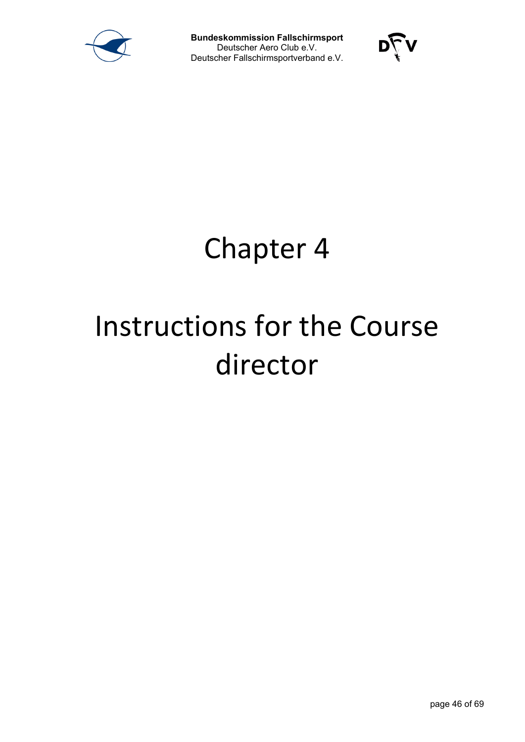



# Chapter 4

# Instructions for the Course director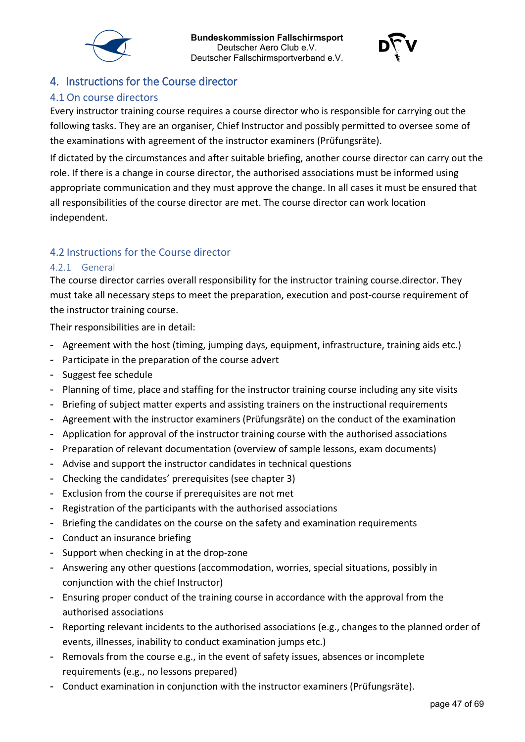



# <span id="page-46-0"></span>4. Instructions for the Course director

### <span id="page-46-1"></span>4.1 On course directors

Every instructor training course requires a course director who is responsible for carrying out the following tasks. They are an organiser, Chief Instructor and possibly permitted to oversee some of the examinations with agreement of the instructor examiners (Prüfungsräte).

If dictated by the circumstances and after suitable briefing, another course director can carry out the role. If there is a change in course director, the authorised associations must be informed using appropriate communication and they must approve the change. In all cases it must be ensured that all responsibilities of the course director are met. The course director can work location independent.

### <span id="page-46-2"></span>4.2 Instructions for the Course director

#### <span id="page-46-3"></span>4.2.1 General

The course director carries overall responsibility for the instructor training course.director. They must take all necessary steps to meet the preparation, execution and post-course requirement of the instructor training course.

Their responsibilities are in detail:

- Agreement with the host (timing, jumping days, equipment, infrastructure, training aids etc.)
- Participate in the preparation of the course advert
- Suggest fee schedule
- Planning of time, place and staffing for the instructor training course including any site visits
- Briefing of subject matter experts and assisting trainers on the instructional requirements
- Agreement with the instructor examiners (Prüfungsräte) on the conduct of the examination
- Application for approval of the instructor training course with the authorised associations
- Preparation of relevant documentation (overview of sample lessons, exam documents)
- Advise and support the instructor candidates in technical questions
- Checking the candidates' prerequisites (see chapter 3)
- Exclusion from the course if prerequisites are not met
- Registration of the participants with the authorised associations
- Briefing the candidates on the course on the safety and examination requirements
- Conduct an insurance briefing
- Support when checking in at the drop-zone
- Answering any other questions (accommodation, worries, special situations, possibly in conjunction with the chief Instructor)
- Ensuring proper conduct of the training course in accordance with the approval from the authorised associations
- Reporting relevant incidents to the authorised associations (e.g., changes to the planned order of events, illnesses, inability to conduct examination jumps etc.)
- Removals from the course e.g., in the event of safety issues, absences or incomplete requirements (e.g., no lessons prepared)
- Conduct examination in conjunction with the instructor examiners (Prüfungsräte).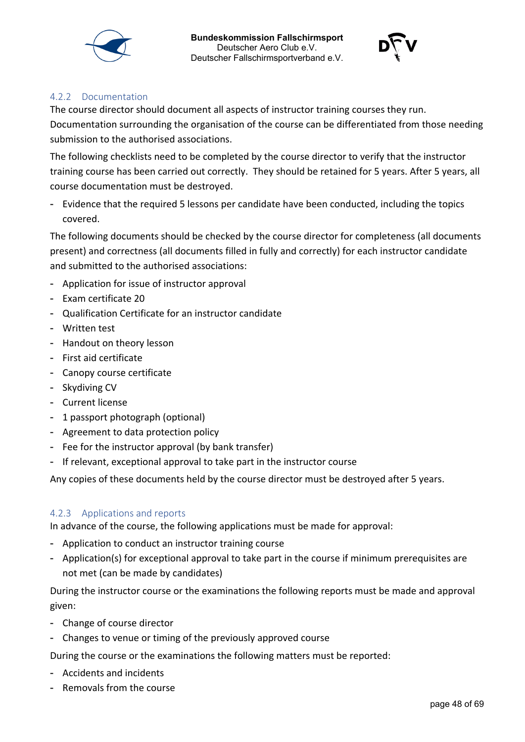



#### <span id="page-47-0"></span>4.2.2 Documentation

The course director should document all aspects of instructor training courses they run.

Documentation surrounding the organisation of the course can be differentiated from those needing submission to the authorised associations.

The following checklists need to be completed by the course director to verify that the instructor training course has been carried out correctly. They should be retained for 5 years. After 5 years, all course documentation must be destroyed.

- Evidence that the required 5 lessons per candidate have been conducted, including the topics covered.

The following documents should be checked by the course director for completeness (all documents present) and correctness (all documents filled in fully and correctly) for each instructor candidate and submitted to the authorised associations:

- Application for issue of instructor approval
- Exam certificate 20
- Qualification Certificate for an instructor candidate
- Written test
- Handout on theory lesson
- First aid certificate
- Canopy course certificate
- Skydiving CV
- Current license
- 1 passport photograph (optional)
- Agreement to data protection policy
- Fee for the instructor approval (by bank transfer)
- If relevant, exceptional approval to take part in the instructor course

Any copies of these documents held by the course director must be destroyed after 5 years.

#### <span id="page-47-1"></span>4.2.3 Applications and reports

In advance of the course, the following applications must be made for approval:

- Application to conduct an instructor training course
- Application(s) for exceptional approval to take part in the course if minimum prerequisites are not met (can be made by candidates)

During the instructor course or the examinations the following reports must be made and approval given:

- Change of course director
- Changes to venue or timing of the previously approved course

During the course or the examinations the following matters must be reported:

- Accidents and incidents
- Removals from the course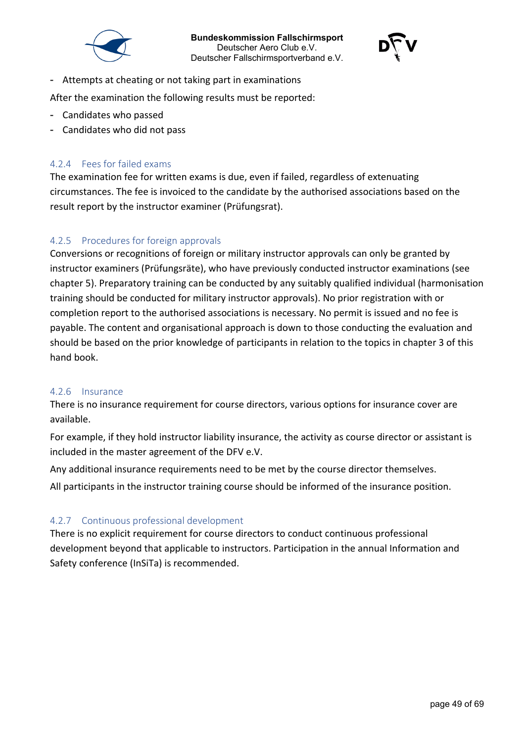



- Attempts at cheating or not taking part in examinations

After the examination the following results must be reported:

- Candidates who passed
- Candidates who did not pass

#### <span id="page-48-0"></span>4.2.4 Fees for failed exams

The examination fee for written exams is due, even if failed, regardless of extenuating circumstances. The fee is invoiced to the candidate by the authorised associations based on the result report by the instructor examiner (Prüfungsrat).

### <span id="page-48-1"></span>4.2.5 Procedures for foreign approvals

Conversions or recognitions of foreign or military instructor approvals can only be granted by instructor examiners (Prüfungsräte), who have previously conducted instructor examinations (see chapter 5). Preparatory training can be conducted by any suitably qualified individual (harmonisation training should be conducted for military instructor approvals). No prior registration with or completion report to the authorised associations is necessary. No permit is issued and no fee is payable. The content and organisational approach is down to those conducting the evaluation and should be based on the prior knowledge of participants in relation to the topics in chapter 3 of this hand book.

#### <span id="page-48-2"></span>4.2.6 Insurance

There is no insurance requirement for course directors, various options for insurance cover are available.

For example, if they hold instructor liability insurance, the activity as course director or assistant is included in the master agreement of the DFV e.V.

Any additional insurance requirements need to be met by the course director themselves.

All participants in the instructor training course should be informed of the insurance position.

#### <span id="page-48-3"></span>4.2.7 Continuous professional development

There is no explicit requirement for course directors to conduct continuous professional development beyond that applicable to instructors. Participation in the annual Information and Safety conference (InSiTa) is recommended.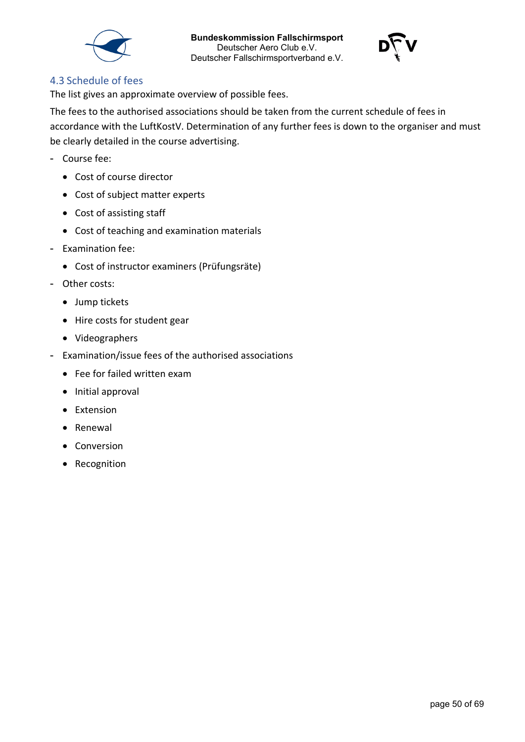



### <span id="page-49-0"></span>4.3 Schedule of fees

The list gives an approximate overview of possible fees.

The fees to the authorised associations should be taken from the current schedule of fees in accordance with the LuftKostV. Determination of any further fees is down to the organiser and must be clearly detailed in the course advertising.

- Course fee:
	- Cost of course director
	- Cost of subject matter experts
	- Cost of assisting staff
	- Cost of teaching and examination materials
- Examination fee:
	- Cost of instructor examiners (Prüfungsräte)
- Other costs:
	- Jump tickets
	- Hire costs for student gear
	- Videographers
- Examination/issue fees of the authorised associations
	- Fee for failed written exam
	- Initial approval
	- Extension
	- Renewal
	- Conversion
	- Recognition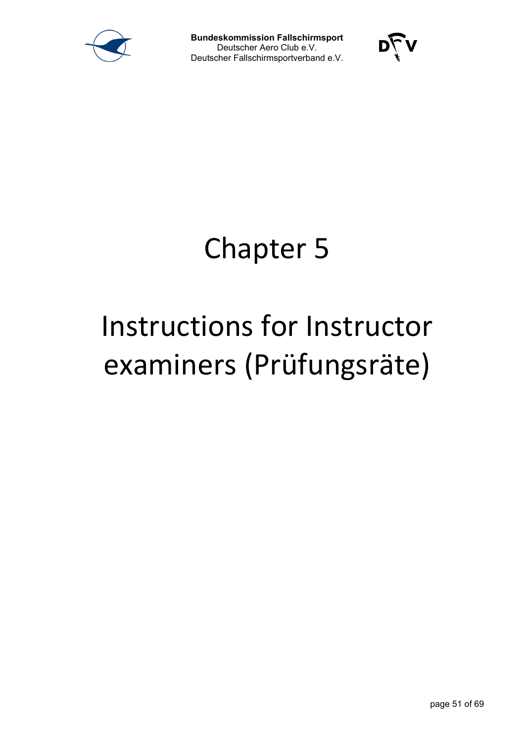



# Chapter 5

# Instructions for Instructor examiners (Prüfungsräte)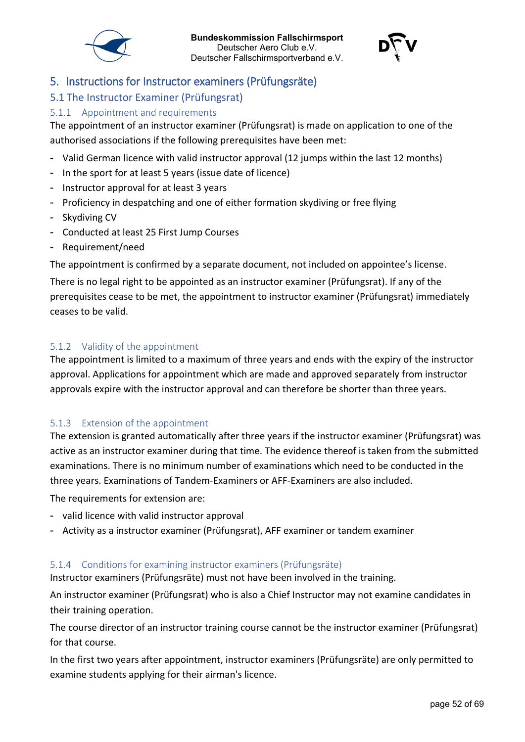



# <span id="page-51-0"></span>5. Instructions for Instructor examiners (Prüfungsräte)

# <span id="page-51-1"></span>5.1 The Instructor Examiner (Prüfungsrat)

#### <span id="page-51-2"></span>5.1.1 Appointment and requirements

The appointment of an instructor examiner (Prüfungsrat) is made on application to one of the authorised associations if the following prerequisites have been met:

- Valid German licence with valid instructor approval (12 jumps within the last 12 months)
- In the sport for at least 5 years (issue date of licence)
- Instructor approval for at least 3 years
- Proficiency in despatching and one of either formation skydiving or free flying
- Skydiving CV
- Conducted at least 25 First Jump Courses
- Requirement/need

The appointment is confirmed by a separate document, not included on appointee's license.

There is no legal right to be appointed as an instructor examiner (Prüfungsrat). If any of the prerequisites cease to be met, the appointment to instructor examiner (Prüfungsrat) immediately ceases to be valid.

#### <span id="page-51-3"></span>5.1.2 Validity of the appointment

The appointment is limited to a maximum of three years and ends with the expiry of the instructor approval. Applications for appointment which are made and approved separately from instructor approvals expire with the instructor approval and can therefore be shorter than three years.

#### <span id="page-51-4"></span>5.1.3 Extension of the appointment

The extension is granted automatically after three years if the instructor examiner (Prüfungsrat) was active as an instructor examiner during that time. The evidence thereof is taken from the submitted examinations. There is no minimum number of examinations which need to be conducted in the three years. Examinations of Tandem-Examiners or AFF-Examiners are also included.

The requirements for extension are:

- valid licence with valid instructor approval
- Activity as a instructor examiner (Prüfungsrat), AFF examiner or tandem examiner

#### <span id="page-51-5"></span>5.1.4 Conditions for examining instructor examiners (Prüfungsräte)

Instructor examiners (Prüfungsräte) must not have been involved in the training.

An instructor examiner (Prüfungsrat) who is also a Chief Instructor may not examine candidates in their training operation.

The course director of an instructor training course cannot be the instructor examiner (Prüfungsrat) for that course.

In the first two years after appointment, instructor examiners (Prüfungsräte) are only permitted to examine students applying for their airman's licence.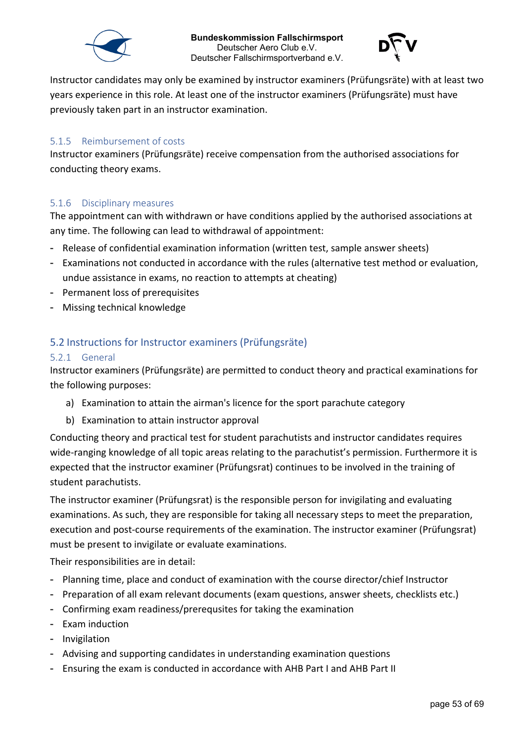



Instructor candidates may only be examined by instructor examiners (Prüfungsräte) with at least two years experience in this role. At least one of the instructor examiners (Prüfungsräte) must have previously taken part in an instructor examination.

#### <span id="page-52-0"></span>5.1.5 Reimbursement of costs

Instructor examiners (Prüfungsräte) receive compensation from the authorised associations for conducting theory exams.

#### <span id="page-52-1"></span>5.1.6 Disciplinary measures

The appointment can with withdrawn or have conditions applied by the authorised associations at any time. The following can lead to withdrawal of appointment:

- Release of confidential examination information (written test, sample answer sheets)
- Examinations not conducted in accordance with the rules (alternative test method or evaluation, undue assistance in exams, no reaction to attempts at cheating)
- Permanent loss of prerequisites
- Missing technical knowledge

### <span id="page-52-2"></span>5.2 Instructions for Instructor examiners (Prüfungsräte)

#### <span id="page-52-3"></span>5.2.1 General

Instructor examiners (Prüfungsräte) are permitted to conduct theory and practical examinations for the following purposes:

- a) Examination to attain the airman's licence for the sport parachute category
- b) Examination to attain instructor approval

Conducting theory and practical test for student parachutists and instructor candidates requires wide-ranging knowledge of all topic areas relating to the parachutist's permission. Furthermore it is expected that the instructor examiner (Prüfungsrat) continues to be involved in the training of student parachutists.

The instructor examiner (Prüfungsrat) is the responsible person for invigilating and evaluating examinations. As such, they are responsible for taking all necessary steps to meet the preparation, execution and post-course requirements of the examination. The instructor examiner (Prüfungsrat) must be present to invigilate or evaluate examinations.

Their responsibilities are in detail:

- Planning time, place and conduct of examination with the course director/chief Instructor
- Preparation of all exam relevant documents (exam questions, answer sheets, checklists etc.)
- Confirming exam readiness/prerequsites for taking the examination
- Exam induction
- Invigilation
- Advising and supporting candidates in understanding examination questions
- Ensuring the exam is conducted in accordance with AHB Part I and AHB Part II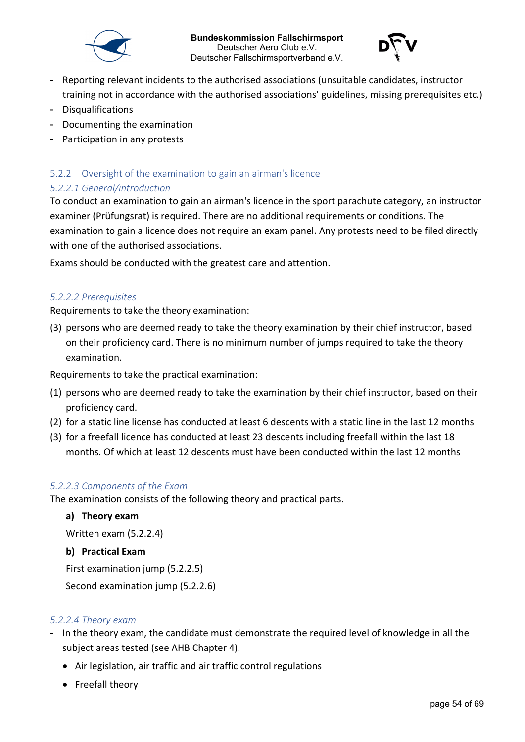



- Reporting relevant incidents to the authorised associations (unsuitable candidates, instructor training not in accordance with the authorised associations' guidelines, missing prerequisites etc.)
- Disqualifications
- Documenting the examination
- Participation in any protests

#### <span id="page-53-0"></span>5.2.2 Oversight of the examination to gain an airman's licence

### <span id="page-53-1"></span>*5.2.2.1 General/introduction*

To conduct an examination to gain an airman's licence in the sport parachute category, an instructor examiner (Prüfungsrat) is required. There are no additional requirements or conditions. The examination to gain a licence does not require an exam panel. Any protests need to be filed directly with one of the authorised associations.

Exams should be conducted with the greatest care and attention.

#### <span id="page-53-2"></span>*5.2.2.2 Prerequisites*

Requirements to take the theory examination:

(3) persons who are deemed ready to take the theory examination by their chief instructor, based on their proficiency card. There is no minimum number of jumps required to take the theory examination.

Requirements to take the practical examination:

- (1) persons who are deemed ready to take the examination by their chief instructor, based on their proficiency card.
- (2) for a static line license has conducted at least 6 descents with a static line in the last 12 months
- (3) for a freefall licence has conducted at least 23 descents including freefall within the last 18 months. Of which at least 12 descents must have been conducted within the last 12 months

#### <span id="page-53-3"></span>*5.2.2.3 Components of the Exam*

The examination consists of the following theory and practical parts.

#### **a) Theory exam**

Written exam (5.2.2.4)

#### **b) Practical Exam**

First examination jump (5.2.2.5)

Second examination jump (5.2.2.6)

#### <span id="page-53-4"></span>*5.2.2.4 Theory exam*

- In the theory exam, the candidate must demonstrate the required level of knowledge in all the subject areas tested (see AHB Chapter 4).
	- Air legislation, air traffic and air traffic control regulations
	- Freefall theory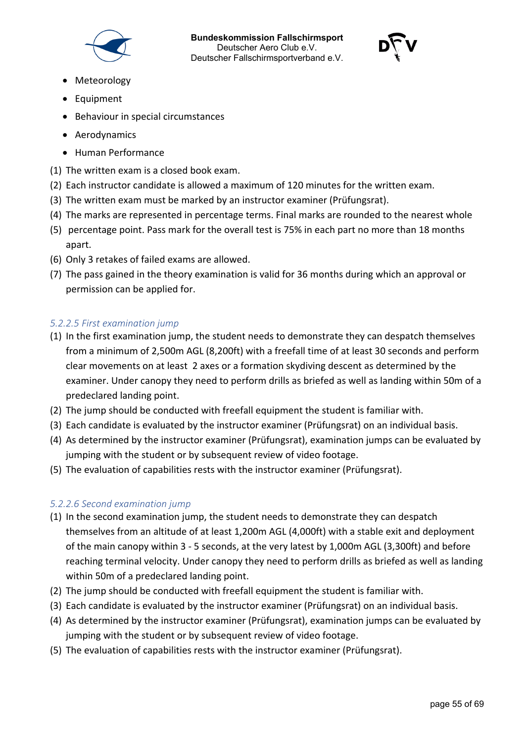



- Meteorology
- Equipment
- Behaviour in special circumstances
- Aerodynamics
- Human Performance
- (1) The written exam is a closed book exam.
- (2) Each instructor candidate is allowed a maximum of 120 minutes for the written exam.
- (3) The written exam must be marked by an instructor examiner (Prüfungsrat).
- (4) The marks are represented in percentage terms. Final marks are rounded to the nearest whole
- (5) percentage point. Pass mark for the overall test is 75% in each part no more than 18 months apart.
- (6) Only 3 retakes of failed exams are allowed.
- (7) The pass gained in the theory examination is valid for 36 months during which an approval or permission can be applied for.

#### <span id="page-54-0"></span>*5.2.2.5 First examination jump*

- (1) In the first examination jump, the student needs to demonstrate they can despatch themselves from a minimum of 2,500m AGL (8,200ft) with a freefall time of at least 30 seconds and perform clear movements on at least 2 axes or a formation skydiving descent as determined by the examiner. Under canopy they need to perform drills as briefed as well as landing within 50m of a predeclared landing point.
- (2) The jump should be conducted with freefall equipment the student is familiar with.
- (3) Each candidate is evaluated by the instructor examiner (Prüfungsrat) on an individual basis.
- (4) As determined by the instructor examiner (Prüfungsrat), examination jumps can be evaluated by jumping with the student or by subsequent review of video footage.
- (5) The evaluation of capabilities rests with the instructor examiner (Prüfungsrat).

#### <span id="page-54-1"></span>*5.2.2.6 Second examination jump*

- (1) In the second examination jump, the student needs to demonstrate they can despatch themselves from an altitude of at least 1,200m AGL (4,000ft) with a stable exit and deployment of the main canopy within 3 - 5 seconds, at the very latest by 1,000m AGL (3,300ft) and before reaching terminal velocity. Under canopy they need to perform drills as briefed as well as landing within 50m of a predeclared landing point.
- (2) The jump should be conducted with freefall equipment the student is familiar with.
- (3) Each candidate is evaluated by the instructor examiner (Prüfungsrat) on an individual basis.
- (4) As determined by the instructor examiner (Prüfungsrat), examination jumps can be evaluated by jumping with the student or by subsequent review of video footage.
- (5) The evaluation of capabilities rests with the instructor examiner (Prüfungsrat).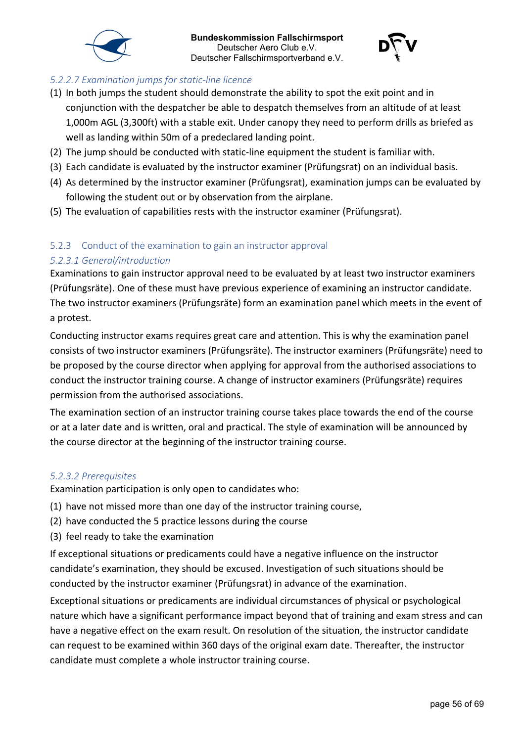



# <span id="page-55-0"></span>*5.2.2.7 Examination jumps for static-line licence*

- (1) In both jumps the student should demonstrate the ability to spot the exit point and in conjunction with the despatcher be able to despatch themselves from an altitude of at least 1,000m AGL (3,300ft) with a stable exit. Under canopy they need to perform drills as briefed as well as landing within 50m of a predeclared landing point.
- (2) The jump should be conducted with static-line equipment the student is familiar with.
- (3) Each candidate is evaluated by the instructor examiner (Prüfungsrat) on an individual basis.
- (4) As determined by the instructor examiner (Prüfungsrat), examination jumps can be evaluated by following the student out or by observation from the airplane.
- (5) The evaluation of capabilities rests with the instructor examiner (Prüfungsrat).

# <span id="page-55-1"></span>5.2.3 Conduct of the examination to gain an instructor approval

#### <span id="page-55-2"></span>*5.2.3.1 General/introduction*

Examinations to gain instructor approval need to be evaluated by at least two instructor examiners (Prüfungsräte). One of these must have previous experience of examining an instructor candidate. The two instructor examiners (Prüfungsräte) form an examination panel which meets in the event of a protest.

Conducting instructor exams requires great care and attention. This is why the examination panel consists of two instructor examiners (Prüfungsräte). The instructor examiners (Prüfungsräte) need to be proposed by the course director when applying for approval from the authorised associations to conduct the instructor training course. A change of instructor examiners (Prüfungsräte) requires permission from the authorised associations.

The examination section of an instructor training course takes place towards the end of the course or at a later date and is written, oral and practical. The style of examination will be announced by the course director at the beginning of the instructor training course.

#### <span id="page-55-3"></span>*5.2.3.2 Prerequisites*

Examination participation is only open to candidates who:

- (1) have not missed more than one day of the instructor training course,
- (2) have conducted the 5 practice lessons during the course
- (3) feel ready to take the examination

If exceptional situations or predicaments could have a negative influence on the instructor candidate's examination, they should be excused. Investigation of such situations should be conducted by the instructor examiner (Prüfungsrat) in advance of the examination.

Exceptional situations or predicaments are individual circumstances of physical or psychological nature which have a significant performance impact beyond that of training and exam stress and can have a negative effect on the exam result. On resolution of the situation, the instructor candidate can request to be examined within 360 days of the original exam date. Thereafter, the instructor candidate must complete a whole instructor training course.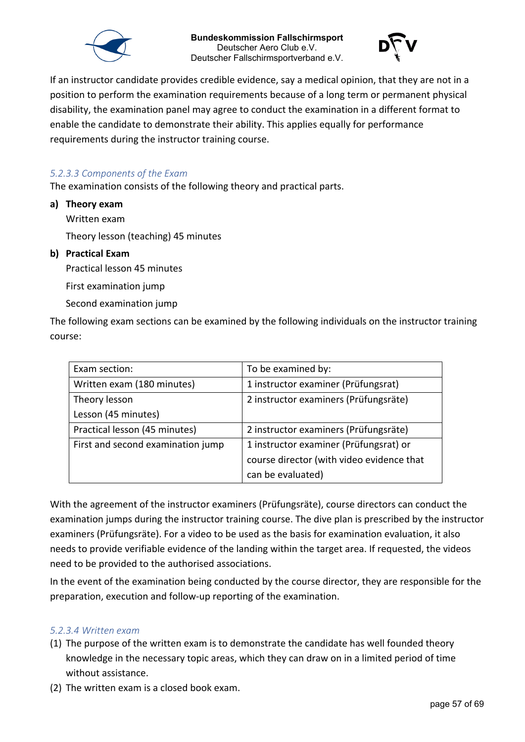



If an instructor candidate provides credible evidence, say a medical opinion, that they are not in a position to perform the examination requirements because of a long term or permanent physical disability, the examination panel may agree to conduct the examination in a different format to enable the candidate to demonstrate their ability. This applies equally for performance requirements during the instructor training course.

#### <span id="page-56-0"></span>*5.2.3.3 Components of the Exam*

The examination consists of the following theory and practical parts.

**a) Theory exam**

Written exam

Theory lesson (teaching) 45 minutes

#### **b) Practical Exam**

Practical lesson 45 minutes

First examination jump

Second examination jump

The following exam sections can be examined by the following individuals on the instructor training course:

| Exam section:                     | To be examined by:                        |
|-----------------------------------|-------------------------------------------|
| Written exam (180 minutes)        | 1 instructor examiner (Prüfungsrat)       |
| Theory lesson                     | 2 instructor examiners (Prüfungsräte)     |
| Lesson (45 minutes)               |                                           |
| Practical lesson (45 minutes)     | 2 instructor examiners (Prüfungsräte)     |
| First and second examination jump | 1 instructor examiner (Prüfungsrat) or    |
|                                   | course director (with video evidence that |
|                                   | can be evaluated)                         |

With the agreement of the instructor examiners (Prüfungsräte), course directors can conduct the examination jumps during the instructor training course. The dive plan is prescribed by the instructor examiners (Prüfungsräte). For a video to be used as the basis for examination evaluation, it also needs to provide verifiable evidence of the landing within the target area. If requested, the videos need to be provided to the authorised associations.

In the event of the examination being conducted by the course director, they are responsible for the preparation, execution and follow-up reporting of the examination.

#### <span id="page-56-1"></span>*5.2.3.4 Written exam*

- (1) The purpose of the written exam is to demonstrate the candidate has well founded theory knowledge in the necessary topic areas, which they can draw on in a limited period of time without assistance.
- (2) The written exam is a closed book exam.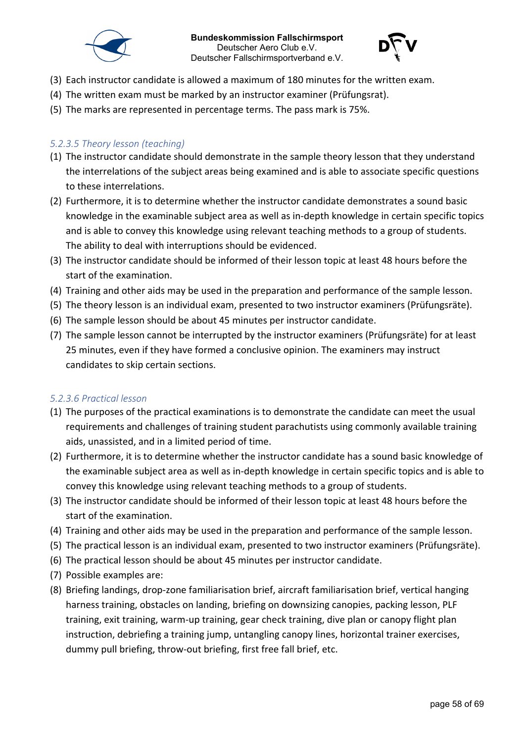



- (3) Each instructor candidate is allowed a maximum of 180 minutes for the written exam.
- (4) The written exam must be marked by an instructor examiner (Prüfungsrat).
- (5) The marks are represented in percentage terms. The pass mark is 75%.

#### <span id="page-57-0"></span>*5.2.3.5 Theory lesson (teaching)*

- (1) The instructor candidate should demonstrate in the sample theory lesson that they understand the interrelations of the subject areas being examined and is able to associate specific questions to these interrelations.
- (2) Furthermore, it is to determine whether the instructor candidate demonstrates a sound basic knowledge in the examinable subject area as well as in-depth knowledge in certain specific topics and is able to convey this knowledge using relevant teaching methods to a group of students. The ability to deal with interruptions should be evidenced.
- (3) The instructor candidate should be informed of their lesson topic at least 48 hours before the start of the examination.
- (4) Training and other aids may be used in the preparation and performance of the sample lesson.
- (5) The theory lesson is an individual exam, presented to two instructor examiners (Prüfungsräte).
- (6) The sample lesson should be about 45 minutes per instructor candidate.
- (7) The sample lesson cannot be interrupted by the instructor examiners (Prüfungsräte) for at least 25 minutes, even if they have formed a conclusive opinion. The examiners may instruct candidates to skip certain sections.

#### <span id="page-57-1"></span>*5.2.3.6 Practical lesson*

- (1) The purposes of the practical examinations is to demonstrate the candidate can meet the usual requirements and challenges of training student parachutists using commonly available training aids, unassisted, and in a limited period of time.
- (2) Furthermore, it is to determine whether the instructor candidate has a sound basic knowledge of the examinable subject area as well as in-depth knowledge in certain specific topics and is able to convey this knowledge using relevant teaching methods to a group of students.
- (3) The instructor candidate should be informed of their lesson topic at least 48 hours before the start of the examination.
- (4) Training and other aids may be used in the preparation and performance of the sample lesson.
- (5) The practical lesson is an individual exam, presented to two instructor examiners (Prüfungsräte).
- (6) The practical lesson should be about 45 minutes per instructor candidate.
- (7) Possible examples are:
- (8) Briefing landings, drop-zone familiarisation brief, aircraft familiarisation brief, vertical hanging harness training, obstacles on landing, briefing on downsizing canopies, packing lesson, PLF training, exit training, warm-up training, gear check training, dive plan or canopy flight plan instruction, debriefing a training jump, untangling canopy lines, horizontal trainer exercises, dummy pull briefing, throw-out briefing, first free fall brief, etc.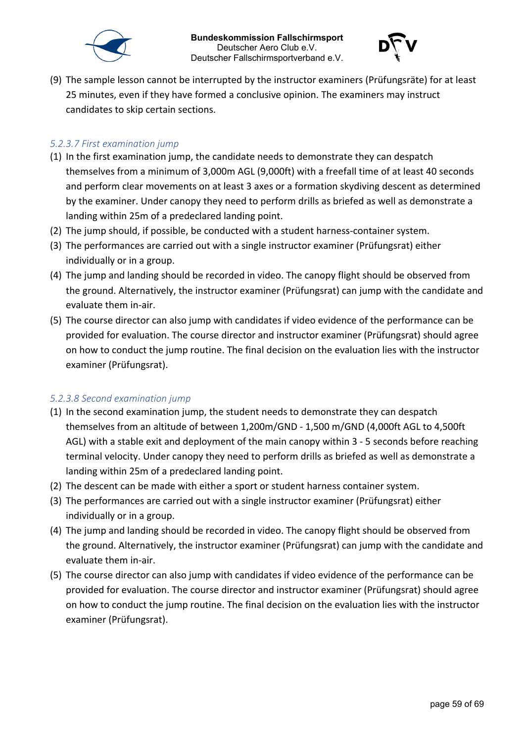



(9) The sample lesson cannot be interrupted by the instructor examiners (Prüfungsräte) for at least 25 minutes, even if they have formed a conclusive opinion. The examiners may instruct candidates to skip certain sections.

#### <span id="page-58-0"></span>*5.2.3.7 First examination jump*

- (1) In the first examination jump, the candidate needs to demonstrate they can despatch themselves from a minimum of 3,000m AGL (9,000ft) with a freefall time of at least 40 seconds and perform clear movements on at least 3 axes or a formation skydiving descent as determined by the examiner. Under canopy they need to perform drills as briefed as well as demonstrate a landing within 25m of a predeclared landing point.
- (2) The jump should, if possible, be conducted with a student harness-container system.
- (3) The performances are carried out with a single instructor examiner (Prüfungsrat) either individually or in a group.
- (4) The jump and landing should be recorded in video. The canopy flight should be observed from the ground. Alternatively, the instructor examiner (Prüfungsrat) can jump with the candidate and evaluate them in-air.
- (5) The course director can also jump with candidates if video evidence of the performance can be provided for evaluation. The course director and instructor examiner (Prüfungsrat) should agree on how to conduct the jump routine. The final decision on the evaluation lies with the instructor examiner (Prüfungsrat).

#### <span id="page-58-1"></span>*5.2.3.8 Second examination jump*

- (1) In the second examination jump, the student needs to demonstrate they can despatch themselves from an altitude of between 1,200m/GND - 1,500 m/GND (4,000ft AGL to 4,500ft AGL) with a stable exit and deployment of the main canopy within 3 - 5 seconds before reaching terminal velocity. Under canopy they need to perform drills as briefed as well as demonstrate a landing within 25m of a predeclared landing point.
- (2) The descent can be made with either a sport or student harness container system.
- (3) The performances are carried out with a single instructor examiner (Prüfungsrat) either individually or in a group.
- (4) The jump and landing should be recorded in video. The canopy flight should be observed from the ground. Alternatively, the instructor examiner (Prüfungsrat) can jump with the candidate and evaluate them in-air.
- (5) The course director can also jump with candidates if video evidence of the performance can be provided for evaluation. The course director and instructor examiner (Prüfungsrat) should agree on how to conduct the jump routine. The final decision on the evaluation lies with the instructor examiner (Prüfungsrat).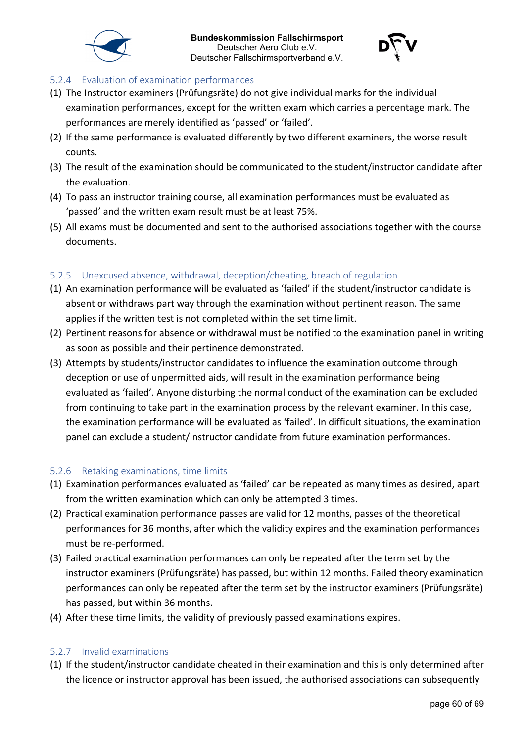



### <span id="page-59-0"></span>5.2.4 Evaluation of examination performances

- (1) The Instructor examiners (Prüfungsräte) do not give individual marks for the individual examination performances, except for the written exam which carries a percentage mark. The performances are merely identified as 'passed' or 'failed'.
- (2) If the same performance is evaluated differently by two different examiners, the worse result counts.
- (3) The result of the examination should be communicated to the student/instructor candidate after the evaluation.
- (4) To pass an instructor training course, all examination performances must be evaluated as 'passed' and the written exam result must be at least 75%.
- (5) All exams must be documented and sent to the authorised associations together with the course documents.

### <span id="page-59-1"></span>5.2.5 Unexcused absence, withdrawal, deception/cheating, breach of regulation

- (1) An examination performance will be evaluated as 'failed' if the student/instructor candidate is absent or withdraws part way through the examination without pertinent reason. The same applies if the written test is not completed within the set time limit.
- (2) Pertinent reasons for absence or withdrawal must be notified to the examination panel in writing as soon as possible and their pertinence demonstrated.
- (3) Attempts by students/instructor candidates to influence the examination outcome through deception or use of unpermitted aids, will result in the examination performance being evaluated as 'failed'. Anyone disturbing the normal conduct of the examination can be excluded from continuing to take part in the examination process by the relevant examiner. In this case, the examination performance will be evaluated as 'failed'. In difficult situations, the examination panel can exclude a student/instructor candidate from future examination performances.

#### <span id="page-59-2"></span>5.2.6 Retaking examinations, time limits

- (1) Examination performances evaluated as 'failed' can be repeated as many times as desired, apart from the written examination which can only be attempted 3 times.
- (2) Practical examination performance passes are valid for 12 months, passes of the theoretical performances for 36 months, after which the validity expires and the examination performances must be re-performed.
- (3) Failed practical examination performances can only be repeated after the term set by the instructor examiners (Prüfungsräte) has passed, but within 12 months. Failed theory examination performances can only be repeated after the term set by the instructor examiners (Prüfungsräte) has passed, but within 36 months.
- (4) After these time limits, the validity of previously passed examinations expires.

#### <span id="page-59-3"></span>5.2.7 Invalid examinations

(1) If the student/instructor candidate cheated in their examination and this is only determined after the licence or instructor approval has been issued, the authorised associations can subsequently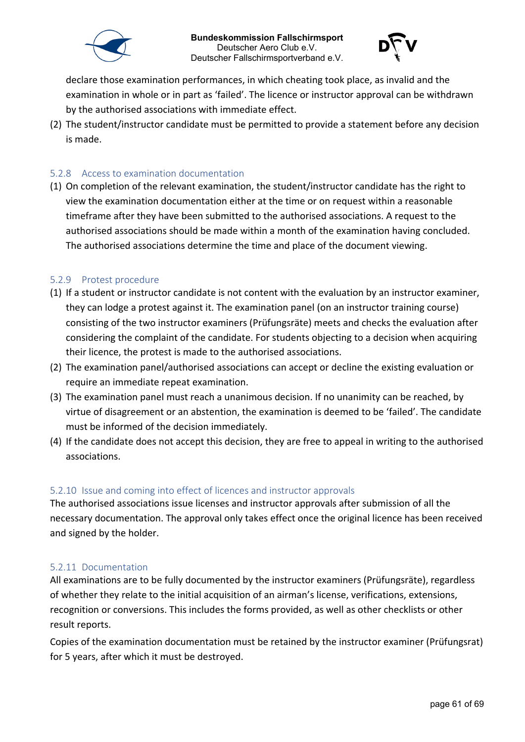



declare those examination performances, in which cheating took place, as invalid and the examination in whole or in part as 'failed'. The licence or instructor approval can be withdrawn by the authorised associations with immediate effect.

(2) The student/instructor candidate must be permitted to provide a statement before any decision is made.

#### <span id="page-60-0"></span>5.2.8 Access to examination documentation

(1) On completion of the relevant examination, the student/instructor candidate has the right to view the examination documentation either at the time or on request within a reasonable timeframe after they have been submitted to the authorised associations. A request to the authorised associations should be made within a month of the examination having concluded. The authorised associations determine the time and place of the document viewing.

#### <span id="page-60-1"></span>5.2.9 Protest procedure

- (1) If a student or instructor candidate is not content with the evaluation by an instructor examiner, they can lodge a protest against it. The examination panel (on an instructor training course) consisting of the two instructor examiners (Prüfungsräte) meets and checks the evaluation after considering the complaint of the candidate. For students objecting to a decision when acquiring their licence, the protest is made to the authorised associations.
- (2) The examination panel/authorised associations can accept or decline the existing evaluation or require an immediate repeat examination.
- (3) The examination panel must reach a unanimous decision. If no unanimity can be reached, by virtue of disagreement or an abstention, the examination is deemed to be 'failed'. The candidate must be informed of the decision immediately.
- (4) If the candidate does not accept this decision, they are free to appeal in writing to the authorised associations.

#### <span id="page-60-2"></span>5.2.10 Issue and coming into effect of licences and instructor approvals

The authorised associations issue licenses and instructor approvals after submission of all the necessary documentation. The approval only takes effect once the original licence has been received and signed by the holder.

#### <span id="page-60-3"></span>5.2.11 Documentation

All examinations are to be fully documented by the instructor examiners (Prüfungsräte), regardless of whether they relate to the initial acquisition of an airman's license, verifications, extensions, recognition or conversions. This includes the forms provided, as well as other checklists or other result reports.

Copies of the examination documentation must be retained by the instructor examiner (Prüfungsrat) for 5 years, after which it must be destroyed.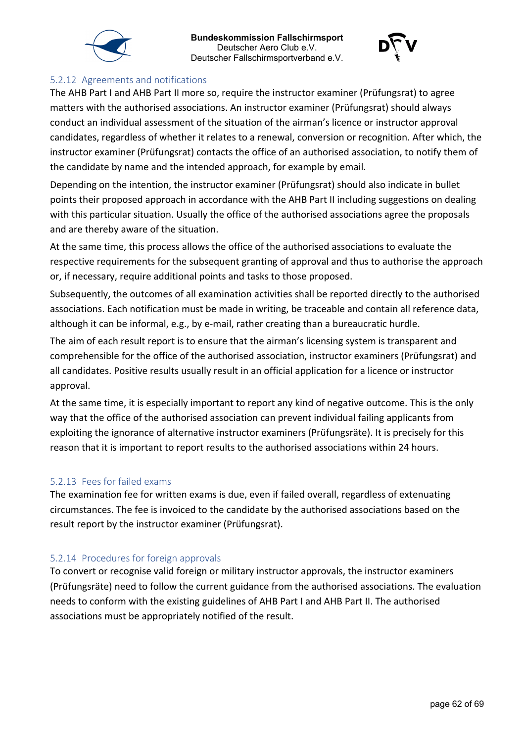



#### <span id="page-61-0"></span>5.2.12 Agreements and notifications

The AHB Part I and AHB Part II more so, require the instructor examiner (Prüfungsrat) to agree matters with the authorised associations. An instructor examiner (Prüfungsrat) should always conduct an individual assessment of the situation of the airman's licence or instructor approval candidates, regardless of whether it relates to a renewal, conversion or recognition. After which, the instructor examiner (Prüfungsrat) contacts the office of an authorised association, to notify them of the candidate by name and the intended approach, for example by email.

Depending on the intention, the instructor examiner (Prüfungsrat) should also indicate in bullet points their proposed approach in accordance with the AHB Part II including suggestions on dealing with this particular situation. Usually the office of the authorised associations agree the proposals and are thereby aware of the situation.

At the same time, this process allows the office of the authorised associations to evaluate the respective requirements for the subsequent granting of approval and thus to authorise the approach or, if necessary, require additional points and tasks to those proposed.

Subsequently, the outcomes of all examination activities shall be reported directly to the authorised associations. Each notification must be made in writing, be traceable and contain all reference data, although it can be informal, e.g., by e-mail, rather creating than a bureaucratic hurdle.

The aim of each result report is to ensure that the airman's licensing system is transparent and comprehensible for the office of the authorised association, instructor examiners (Prüfungsrat) and all candidates. Positive results usually result in an official application for a licence or instructor approval.

At the same time, it is especially important to report any kind of negative outcome. This is the only way that the office of the authorised association can prevent individual failing applicants from exploiting the ignorance of alternative instructor examiners (Prüfungsräte). It is precisely for this reason that it is important to report results to the authorised associations within 24 hours.

#### <span id="page-61-1"></span>5.2.13 Fees for failed exams

The examination fee for written exams is due, even if failed overall, regardless of extenuating circumstances. The fee is invoiced to the candidate by the authorised associations based on the result report by the instructor examiner (Prüfungsrat).

#### <span id="page-61-2"></span>5.2.14 Procedures for foreign approvals

To convert or recognise valid foreign or military instructor approvals, the instructor examiners (Prüfungsräte) need to follow the current guidance from the authorised associations. The evaluation needs to conform with the existing guidelines of AHB Part I and AHB Part II. The authorised associations must be appropriately notified of the result.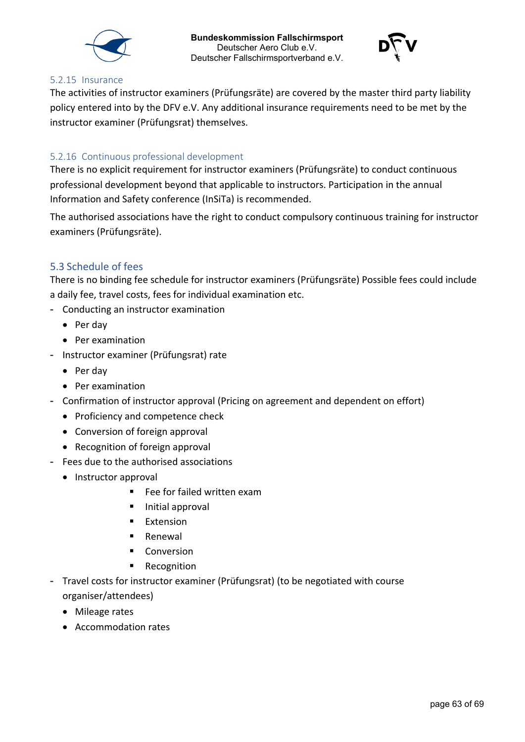



#### <span id="page-62-0"></span>5.2.15 Insurance

The activities of instructor examiners (Prüfungsräte) are covered by the master third party liability policy entered into by the DFV e.V. Any additional insurance requirements need to be met by the instructor examiner (Prüfungsrat) themselves.

#### <span id="page-62-1"></span>5.2.16 Continuous professional development

There is no explicit requirement for instructor examiners (Prüfungsräte) to conduct continuous professional development beyond that applicable to instructors. Participation in the annual Information and Safety conference (InSiTa) is recommended.

The authorised associations have the right to conduct compulsory continuous training for instructor examiners (Prüfungsräte).

#### <span id="page-62-2"></span>5.3 Schedule of fees

There is no binding fee schedule for instructor examiners (Prüfungsräte) Possible fees could include a daily fee, travel costs, fees for individual examination etc.

- Conducting an instructor examination
	- Per day
	- Per examination
- Instructor examiner (Prüfungsrat) rate
	- Per day
	- Per examination
- Confirmation of instructor approval (Pricing on agreement and dependent on effort)
	- Proficiency and competence check
	- Conversion of foreign approval
	- Recognition of foreign approval
- Fees due to the authorised associations
	- Instructor approval
		- Fee for failed written exam
		- **Initial approval**
		- **Extension**
		- Renewal
		- **Conversion**
		- **Recognition**
- Travel costs for instructor examiner (Prüfungsrat) (to be negotiated with course organiser/attendees)
	- Mileage rates
	- Accommodation rates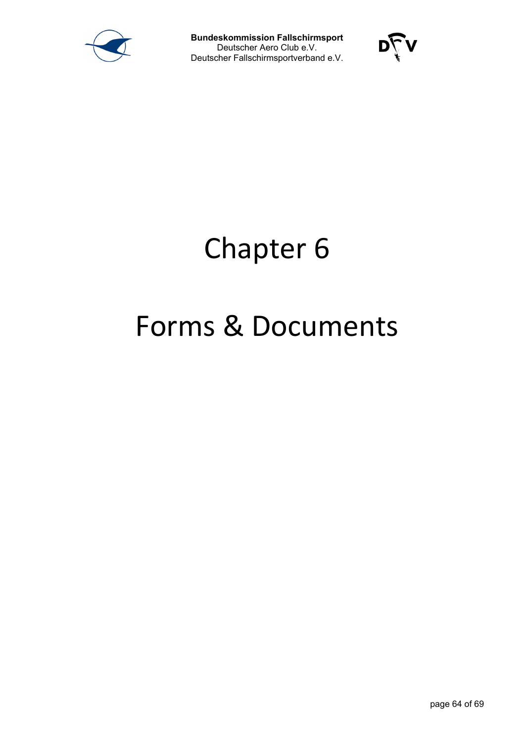



# Chapter 6

# Forms & Documents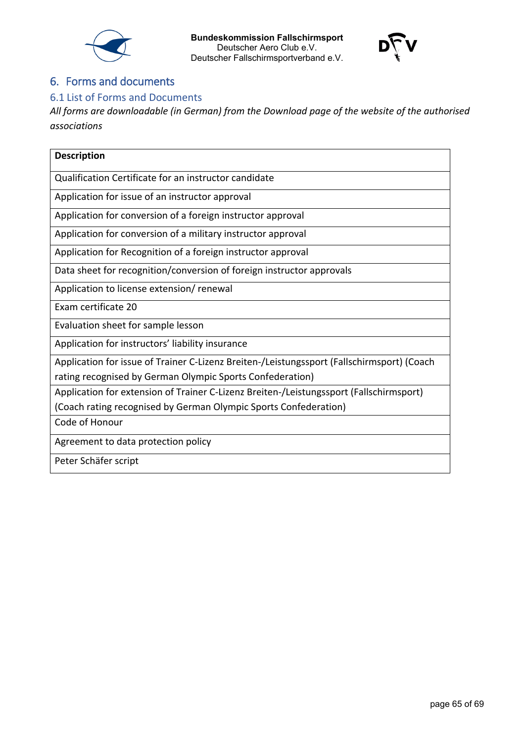





# <span id="page-64-0"></span>6. Forms and documents

# <span id="page-64-1"></span>6.1 List of Forms and Documents

*All forms are downloadable (in German) from the Download page of the website of the authorised associations*

| <b>Description</b>                                                                                                                                      |
|---------------------------------------------------------------------------------------------------------------------------------------------------------|
| Qualification Certificate for an instructor candidate                                                                                                   |
| Application for issue of an instructor approval                                                                                                         |
| Application for conversion of a foreign instructor approval                                                                                             |
| Application for conversion of a military instructor approval                                                                                            |
| Application for Recognition of a foreign instructor approval                                                                                            |
| Data sheet for recognition/conversion of foreign instructor approvals                                                                                   |
| Application to license extension/ renewal                                                                                                               |
| Exam certificate 20                                                                                                                                     |
| Evaluation sheet for sample lesson                                                                                                                      |
| Application for instructors' liability insurance                                                                                                        |
| Application for issue of Trainer C-Lizenz Breiten-/Leistungssport (Fallschirmsport) (Coach<br>rating recognised by German Olympic Sports Confederation) |
| Application for extension of Trainer C-Lizenz Breiten-/Leistungssport (Fallschirmsport)                                                                 |
| (Coach rating recognised by German Olympic Sports Confederation)                                                                                        |
| Code of Honour                                                                                                                                          |
| Agreement to data protection policy                                                                                                                     |
| Peter Schäfer script                                                                                                                                    |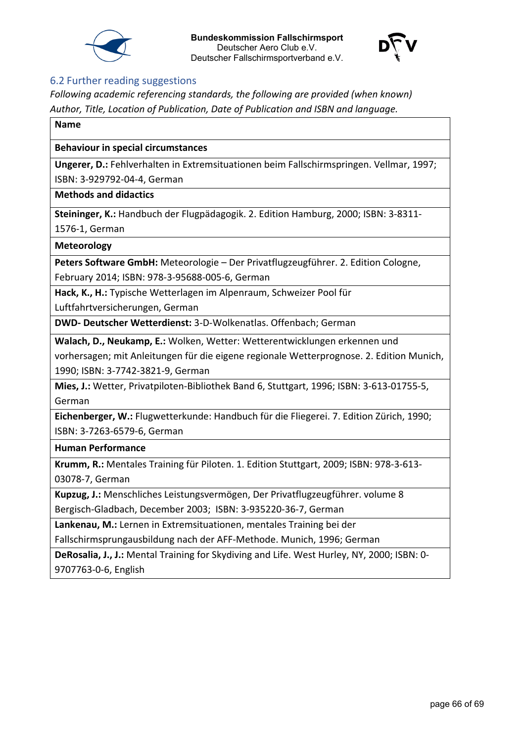



#### <span id="page-65-0"></span>6.2 Further reading suggestions

*Following academic referencing standards, the following are provided (when known) Author, Title, Location of Publication, Date of Publication and ISBN and language.*

#### **Name**

#### **Behaviour in special circumstances**

**Ungerer, D.:** Fehlverhalten in Extremsituationen beim Fallschirmspringen. Vellmar, 1997;

ISBN: 3-929792-04-4, German

**Methods and didactics**

**Steininger, K.:** Handbuch der Flugpädagogik. 2. Edition Hamburg, 2000; ISBN: 3-8311- 1576-1, German

**Meteorology**

**Peters Software GmbH:** Meteorologie – Der Privatflugzeugführer. 2. Edition Cologne, February 2014; ISBN: 978-3-95688-005-6, German

**Hack, K., H.:** Typische Wetterlagen im Alpenraum, Schweizer Pool für

Luftfahrtversicherungen, German

**DWD- Deutscher Wetterdienst:** 3-D-Wolkenatlas. Offenbach; German

**Walach, D., Neukamp, E.:** Wolken, Wetter: Wetterentwicklungen erkennen und

vorhersagen; mit Anleitungen für die eigene regionale Wetterprognose. 2. Edition Munich, 1990; ISBN: 3-7742-3821-9, German

**Mies, J.:** Wetter, Privatpiloten-Bibliothek Band 6, Stuttgart, 1996; ISBN: 3-613-01755-5, German

**Eichenberger, W.:** Flugwetterkunde: Handbuch für die Fliegerei. 7. Edition Zürich, 1990; ISBN: 3-7263-6579-6, German

**Human Performance**

**Krumm, R.:** Mentales Training für Piloten. 1. Edition Stuttgart, 2009; ISBN: 978-3-613- 03078-7, German

**Kupzug, J.:** Menschliches Leistungsvermögen, Der Privatflugzeugführer. volume 8 Bergisch-Gladbach, December 2003; ISBN: 3-935220-36-7, German

**Lankenau, M.:** Lernen in Extremsituationen, mentales Training bei der

Fallschirmsprungausbildung nach der AFF-Methode. Munich, 1996; German

**DeRosalia, J., J.:** Mental Training for Skydiving and Life. West Hurley, NY, 2000; ISBN: 0- 9707763-0-6, English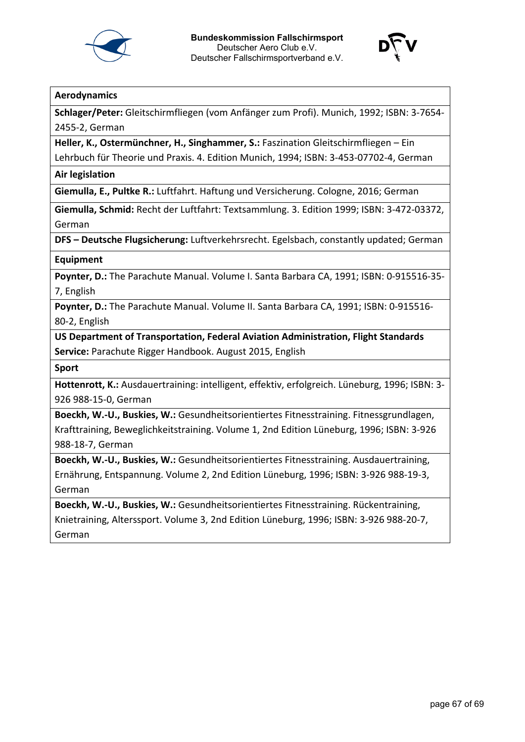



#### **Aerodynamics**

**Schlager/Peter:** Gleitschirmfliegen (vom Anfänger zum Profi). Munich, 1992; ISBN: 3-7654- 2455-2, German

**Heller, K., Ostermünchner, H., Singhammer, S.:** Faszination Gleitschirmfliegen – Ein

Lehrbuch für Theorie und Praxis. 4. Edition Munich, 1994; ISBN: 3-453-07702-4, German

**Air legislation**

**Giemulla, E., Pultke R.:** Luftfahrt. Haftung und Versicherung. Cologne, 2016; German

**Giemulla, Schmid:** Recht der Luftfahrt: Textsammlung. 3. Edition 1999; ISBN: 3-472-03372, German

**DFS – Deutsche Flugsicherung:** Luftverkehrsrecht. Egelsbach, constantly updated; German

#### **Equipment**

**Poynter, D.:** The Parachute Manual. Volume I. Santa Barbara CA, 1991; ISBN: 0-915516-35- 7, English

**Poynter, D.:** The Parachute Manual. Volume II. Santa Barbara CA, 1991; ISBN: 0-915516- 80-2, English

**US Department of Transportation, Federal Aviation Administration, Flight Standards Service:** Parachute Rigger Handbook. August 2015, English

**Sport**

**Hottenrott, K.:** Ausdauertraining: intelligent, effektiv, erfolgreich. Lüneburg, 1996; ISBN: 3- 926 988-15-0, German

**Boeckh, W.-U., Buskies, W.:** Gesundheitsorientiertes Fitnesstraining. Fitnessgrundlagen, Krafttraining, Beweglichkeitstraining. Volume 1, 2nd Edition Lüneburg, 1996; ISBN: 3-926 988-18-7, German

**Boeckh, W.-U., Buskies, W.:** Gesundheitsorientiertes Fitnesstraining. Ausdauertraining, Ernährung, Entspannung. Volume 2, 2nd Edition Lüneburg, 1996; ISBN: 3-926 988-19-3, German

**Boeckh, W.-U., Buskies, W.:** Gesundheitsorientiertes Fitnesstraining. Rückentraining, Knietraining, Alterssport. Volume 3, 2nd Edition Lüneburg, 1996; ISBN: 3-926 988-20-7, German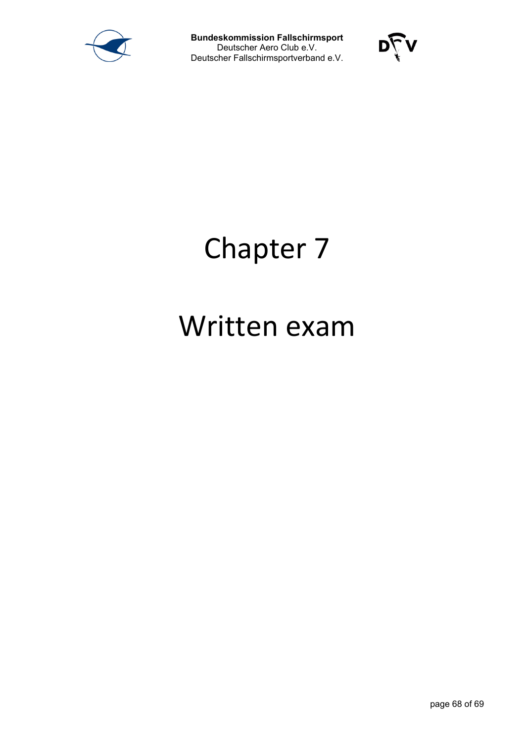



# Chapter 7

# Written exam